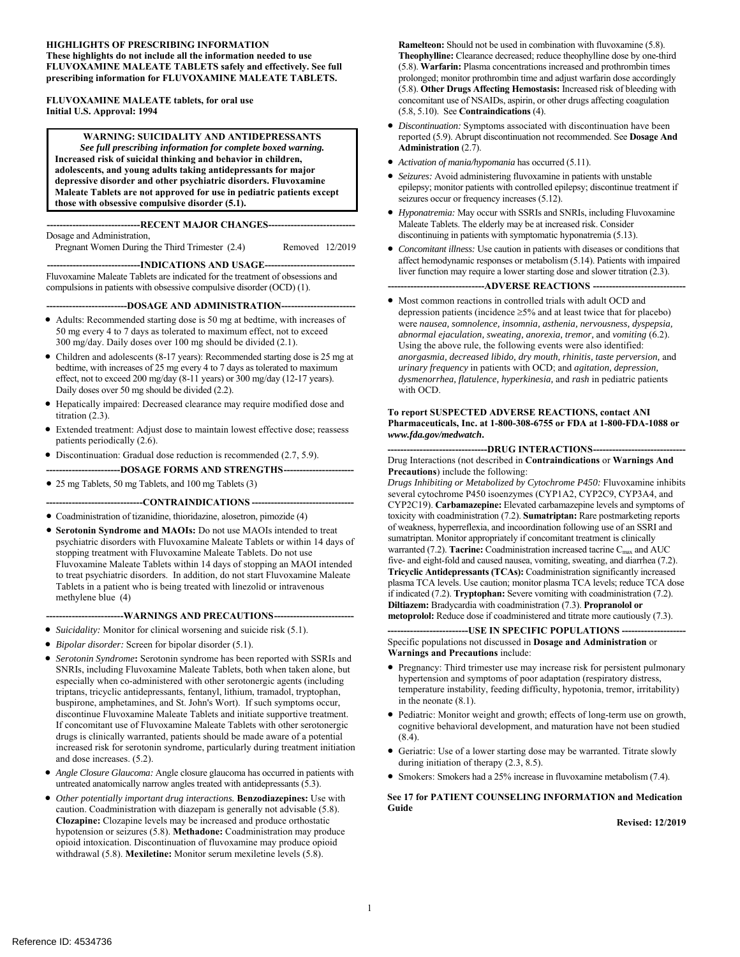#### **HIGHLIGHTS OF PRESCRIBING INFORMATION These highlights do not include all the information needed to use FLUVOXAMINE MALEATE TABLETS safely and effectively. See full prescribing information for FLUVOXAMINE MALEATE TABLETS.**

 **Initial U.S. Approval: 1994 FLUVOXAMINE MALEATE tablets, for oral use** 

#### **WARNING: SUICIDALITY AND ANTIDEPRESSANTS**  *See full prescribing information for complete boxed warning.*

**Increased risk of suicidal thinking and behavior in children, adolescents, and young adults taking antidepressants for major depressive disorder and other psychiatric disorders. Fluvoxamine Maleate Tablets are not approved for use in pediatric patients except those with obsessive compulsive disorder (5.1).** 

-RECENT MAJOR CHANGES---Dosage and Administration, Pregnant Women During the Third Trimester (2.4) Removed 12/2019

--INDICATIONS AND USAGE--

 Fluvoxamine Maleate Tablets are indicated for the treatment of obsessions and compulsions in patients with obsessive compulsive disorder (OCD) (1).

---DOSAGE AND ADMINISTRATION--

- Adults: Recommended starting dose is 50 mg at bedtime, with increases of 50 mg every 4 to 7 days as tolerated to maximum effect, not to exceed 300 mg/day. Daily doses over 100 mg should be divided (2.1).
- Children and adolescents (8-17 years): Recommended starting dose is 25 mg at bedtime, with increases of 25 mg every 4 to 7 days as tolerated to maximum Daily doses over 50 mg should be divided (2.2). effect, not to exceed 200 mg/day (8-11 years) or 300 mg/day (12-17 years).
- Hepatically impaired: Decreased clearance may require modified dose and titration (2.3).
- Extended treatment: Adjust dose to maintain lowest effective dose; reassess patients periodically (2.6).
- Discontinuation: Gradual dose reduction is recommended (2.7, 5.9).
- **-----------------------DOSAGE FORMS AND STRENGTHS----------------------**
- 25 mg Tablets, 50 mg Tablets, and 100 mg Tablets (3)

**------------------------------CONTRAINDICATIONS --------------------------------** 

- Coadministration of tizanidine, thioridazine, alosetron, pimozide (4)
- psychiatric disorders with Fluvoxamine Maleate Tablets or within 14 days of Fluvoxamine Maleate Tablets within 14 days of stopping an MAOI intended methylene blue (4) **Serotonin Syndrome and MAOIs:** Do not use MAOIs intended to treat stopping treatment with Fluvoxamine Maleate Tablets. Do not use to treat psychiatric disorders. In addition, do not start Fluvoxamine Maleate Tablets in a patient who is being treated with linezolid or intravenous

#### **------------------------WARNINGS AND PRECAUTIONS -------------------------**

- *Suicidality:* Monitor for clinical worsening and suicide risk (5.1).
- *Bipolar disorder:* Screen for bipolar disorder (5.1).
- triptans, tricyclic antidepressants, fentanyl, lithium, tramadol, tryptophan, buspirone, amphetamines, and St. John's Wort). If such symptoms occur, increased risk for serotonin syndrome, particularly during treatment initiation *Serotonin Syndrome***:** Serotonin syndrome has been reported with SSRIs and SNRIs, including Fluvoxamine Maleate Tablets, both when taken alone, but especially when co-administered with other serotonergic agents (including discontinue Fluvoxamine Maleate Tablets and initiate supportive treatment. If concomitant use of Fluvoxamine Maleate Tablets with other serotonergic drugs is clinically warranted, patients should be made aware of a potential and dose increases. (5.2).
- *Angle Closure Glaucoma:* Angle closure glaucoma has occurred in patients with untreated anatomically narrow angles treated with antidepressants (5.3).
- *Other potentially important drug interactions.* **Benzodiazepines:** Use with caution. Coadministration with diazepam is generally not advisable (5.8). **Clozapine:** Clozapine levels may be increased and produce orthostatic hypotension or seizures (5.8). **Methadone:** Coadministration may produce opioid intoxication. Discontinuation of fluvoxamine may produce opioid withdrawal (5.8). **Mexiletine:** Monitor serum mexiletine levels (5.8).

  **Ramelteon:** Should not be used in combination with fluvoxamine (5.8). (5.8). **Warfarin:** Plasma concentrations increased and prothrombin times prolonged; monitor prothrombin time and adjust warfarin dose accordingly (5.8). **Other Drugs Affecting Hemostasis:** Increased risk of bleeding with (5.8, 5.10). See **Contraindications** (4). **Theophylline:** Clearance decreased; reduce theophylline dose by one-third concomitant use of NSAIDs, aspirin, or other drugs affecting coagulation

- *Discontinuation:* Symptoms associated with discontinuation have been reported (5.9). Abrupt discontinuation not recommended. See **Dosage And Administration** (2.7).
- *Activation of mania/hypomania* has occurred (5.11).
- epilepsy; monitor patients with controlled epilepsy; discontinue treatment if seizures occur or frequency increases (5.12). *Seizures:* Avoid administering fluvoxamine in patients with unstable
- discontinuing in patients with symptomatic hyponatremia (5.13). *Hyponatremia:* May occur with SSRIs and SNRIs, including Fluvoxamine Maleate Tablets. The elderly may be at increased risk. Consider
- *Concomitant illness:* Use caution in patients with diseases or conditions that liver function may require a lower starting dose and slower titration (2.3). affect hemodynamic responses or metabolism (5.14). Patients with impaired

#### ----ADVERSE REACTIONS

 *abnormal ejaculation, sweating, anorexia, tremor,* and *vomiting* (6.2). Most common reactions in controlled trials with adult OCD and depression patients (incidence  $\geq$ 5% and at least twice that for placebo) were *nausea, somnolence, insomnia, asthenia, nervousness, dyspepsia,*  Using the above rule, the following events were also identified: *anorgasmia, decreased libido, dry mouth, rhinitis, taste perversion,* and *urinary frequency* in patients with OCD; and *agitation, depression, dysmenorrhea, flatulence, hyperkinesia,* and *rash* in pediatric patients with OCD.

#### **Pharmaceuticals, Inc. at 1-800-308-6755 or FDA at 1-800-FDA-1088 or To report SUSPECTED ADVERSE REACTIONS, contact ANI**  *www.fda.gov/medwatch***.**

#### ---DRUG INTERACTIONS----

Drug Interactions (not described in **Contraindications** or **Warnings And Precautions**) include the following:

 several cytochrome P450 isoenzymes (CYP1A2, CYP2C9, CYP3A4, and toxicity with coadministration (7.2). **Sumatriptan:** Rare postmarketing reports of weakness, hyperreflexia, and incoordination following use of an SSRI and five- and eight-fold and caused nausea, vomiting, sweating, and diarrhea (7.2). plasma TCA levels. Use caution; monitor plasma TCA levels; reduce TCA dose *Drugs Inhibiting or Metabolized by Cytochrome P450:* Fluvoxamine inhibits CYP2C19). **Carbamazepine:** Elevated carbamazepine levels and symptoms of sumatriptan. Monitor appropriately if concomitant treatment is clinically warranted (7.2). **Tacrine:** Coadministration increased tacrine C<sub>max</sub> and AUC **Tricyclic Antidepressants (TCAs):** Coadministration significantly increased if indicated (7.2). **Tryptophan:** Severe vomiting with coadministration (7.2). **Diltiazem:** Bradycardia with coadministration (7.3). **Propranolol or metoprolol:** Reduce dose if coadministered and titrate more cautiously (7.3).

#### **Warnings and Precautions** include: **-------------------------USE IN SPECIFIC POPULATIONS --------------------**  Specific populations not discussed in **Dosage and Administration** or

- Pregnancy: Third trimester use may increase risk for persistent pulmonary in the neonate (8.1). hypertension and symptoms of poor adaptation (respiratory distress, temperature instability, feeding difficulty, hypotonia, tremor, irritability)
- Pediatric: Monitor weight and growth; effects of long-term use on growth, cognitive behavioral development, and maturation have not been studied  $(8.4)$ .
- Geriatric: Use of a lower starting dose may be warranted. Titrate slowly during initiation of therapy (2.3, 8.5).
- Smokers: Smokers had a 25% increase in fluvoxamine metabolism (7.4).

#### Guide **See 17 for PATIENT COUNSELING INFORMATION and Medication Guide Revised: 12/2019**

**Revised: 12/2019**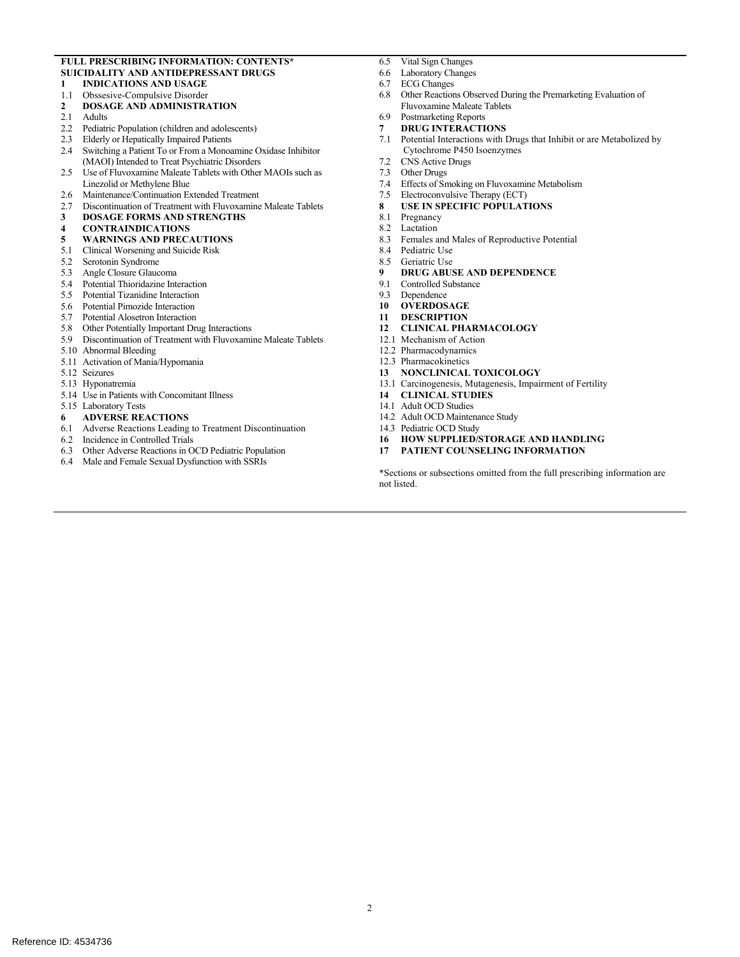#### **FULL PRESCRIBING INFORMATION: CONTENTS\* SUICIDALITY AND ANTIDEPRESSANT DRUGS**

- **1 INDICATIONS AND USAGE**
- 1.1 Obssesive-Compulsive Disorder
- **2 DOSAGE AND ADMINISTRATION**
- 2.1 Adults<br>2.2 Pediatr
- 2.2 Pediatric Population (children and adolescents)
- 2.3 Elderly or Hepatically Impaired Patients
- $2.4$ Switching a Patient To or From a Monoamine Oxidase Inhibitor (MAOI) Intended to Treat Psychiatric Disorders
- $25$  Linezolid or Methylene Blue 2.5 Use of Fluvoxamine Maleate Tablets with Other MAOIs such as
- 2.6 Maintenance/Continuation Extended Treatment
- 2.7 Discontinuation of Treatment with Fluvoxamine Maleate Tablets<br>3 DOSAGE FORMS AND STRENGTHS
- **3 DOSAGE FORMS AND STRENGTHS**
- **4 CONTRAINDICATIONS**
- **5 WARNINGS AND PRECAUTIONS**
- 5.1 Clinical Worsening and Suicide Risk
- 5.2 Serotonin Syndrome
- 5.3 Angle Closure Glaucoma<br>5.4 Potential Thioridazine Int
- Potential Thioridazine Interaction
- 5.5 Potential Tizanidine Interaction
- 5.6 Potential Pimozide Interaction
- 5.7 Potential Alosetron Interaction
- 5.8 Other Potentially Important Drug Interactions
- 5.9 Discontinuation of Treatment with Fluvoxamine Maleate Tablets
- 5.10 Abnormal Bleeding
- 5.11 Activation of Mania/Hypomania
- 5.12 Seizures
- 5.13 Hyponatremia
- 5.14 Use in Patients with Concomitant Illness
- 5.15 Laboratory Tests
- **6 ADVERSE REACTIONS**
- 6.1 Adverse Reactions Leading to Treatment Discontinuation
- 6.2 Incidence in Controlled Trials
- 6.3 Other Adverse Reactions in OCD Pediatric Population
- 6.4 Male and Female Sexual Dysfunction with SSRIs
- 6.5 Vital Sign Changes
- 6.6 Laboratory Changes<br>6.7 ECG Changes
- **ECG Changes**
- 6.8 Other Reactions Observed During the Premarketing Evaluation of Fluvoxamine Maleate Tablets
- 6.9 Postmarketing Reports
- **7 DRUG INTERACTIONS**<br>7.1 Potential Interactions with I
- Potential Interactions with Drugs that Inhibit or are Metabolized by Cytochrome P450 Isoenzymes
- 7.2 CNS Active Drugs<br>7.3 Other Drugs
- Other Drugs
- 74 Effects of Smoking on Fluvoxamine Metabolism
- 7.5 Electroconvulsive Therapy (ECT)
- **8 USE IN SPECIFIC POPULATIONS**<br>8.1 Pregnancy
- 8.1 Pregnancy
- 8.2 Lactation
- 8.3 Females and Males of Reproductive Potential
- 8.4 Pediatric Use<br>8.5 Geriatric Use
- Geriatric Use
- **9 DRUG ABUSE AND DEPENDENCE**
- 9.1 Controlled Substance
- 9.3 Dependence<br>10 OVERDOS
- **10 OVERDOSAGE**
- **11 DESCRIPTION**
- **12 CLINICAL PHARMACOLOGY**
- 12.1 Mechanism of Action
- 12.2 Pharmacodynamics
- 12.3 Pharmacokinetics
- **13 NONCLINICAL TOXICOLOGY**
- 13.1 Carcinogenesis, Mutagenesis, Impairment of Fertility
- **14 CLINICAL STUDIES**
- 14.1 Adult OCD Studies
- 14.2 Adult OCD Maintenance Study
- 14.3 Pediatric OCD Study
- **16 HOW SUPPLIED/STORAGE AND HANDLING**
- **17 PATIENT COUNSELING INFORMATION**

\*Sections or subsections omitted from the full prescribing information are not listed.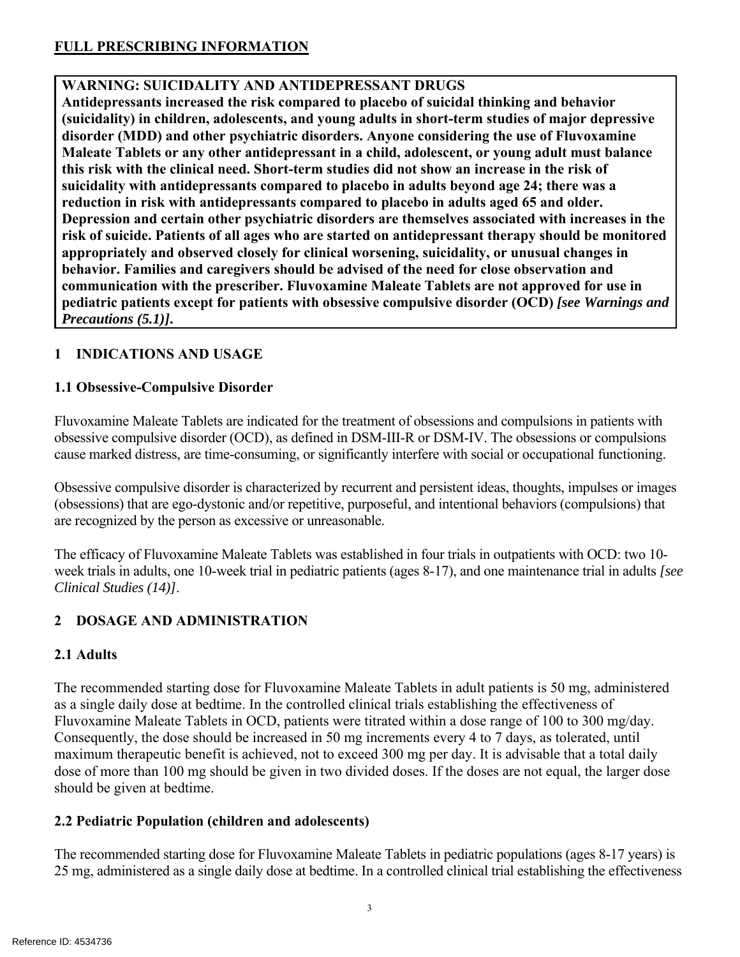# **WARNING: SUICIDALITY AND ANTIDEPRESSANT DRUGS**

**Antidepressants increased the risk compared to placebo of suicidal thinking and behavior (suicidality) in children, adolescents, and young adults in short-term studies of major depressive disorder (MDD) and other psychiatric disorders. Anyone considering the use of Fluvoxamine Maleate Tablets or any other antidepressant in a child, adolescent, or young adult must balance this risk with the clinical need. Short-term studies did not show an increase in the risk of suicidality with antidepressants compared to placebo in adults beyond age 24; there was a reduction in risk with antidepressants compared to placebo in adults aged 65 and older. Depression and certain other psychiatric disorders are themselves associated with increases in the risk of suicide. Patients of all ages who are started on antidepressant therapy should be monitored appropriately and observed closely for clinical worsening, suicidality, or unusual changes in behavior. Families and caregivers should be advised of the need for close observation and communication with the prescriber. Fluvoxamine Maleate Tablets are not approved for use in pediatric patients except for patients with obsessive compulsive disorder (OCD)** *[see Warnings and Precautions (5.1)]***.** 

# **1 INDICATIONS AND USAGE**

# **1.1 Obsessive-Compulsive Disorder**

Fluvoxamine Maleate Tablets are indicated for the treatment of obsessions and compulsions in patients with obsessive compulsive disorder (OCD), as defined in DSM-III-R or DSM-IV. The obsessions or compulsions cause marked distress, are time-consuming, or significantly interfere with social or occupational functioning.

Obsessive compulsive disorder is characterized by recurrent and persistent ideas, thoughts, impulses or images (obsessions) that are ego-dystonic and/or repetitive, purposeful, and intentional behaviors (compulsions) that are recognized by the person as excessive or unreasonable.

 The efficacy of Fluvoxamine Maleate Tablets was established in four trials in outpatients with OCD: two 10 week trials in adults, one 10-week trial in pediatric patients (ages 8-17), and one maintenance trial in adults *[see Clinical Studies (14)]*.

# **2 DOSAGE AND ADMINISTRATION**

# **2.1 Adults**

The recommended starting dose for Fluvoxamine Maleate Tablets in adult patients is 50 mg, administered as a single daily dose at bedtime. In the controlled clinical trials establishing the effectiveness of Fluvoxamine Maleate Tablets in OCD, patients were titrated within a dose range of 100 to 300 mg/day. Consequently, the dose should be increased in 50 mg increments every 4 to 7 days, as tolerated, until maximum therapeutic benefit is achieved, not to exceed 300 mg per day. It is advisable that a total daily dose of more than 100 mg should be given in two divided doses. If the doses are not equal, the larger dose should be given at bedtime.

# **2.2 Pediatric Population (children and adolescents)**

The recommended starting dose for Fluvoxamine Maleate Tablets in pediatric populations (ages 8-17 years) is 25 mg, administered as a single daily dose at bedtime. In a controlled clinical trial establishing the effectiveness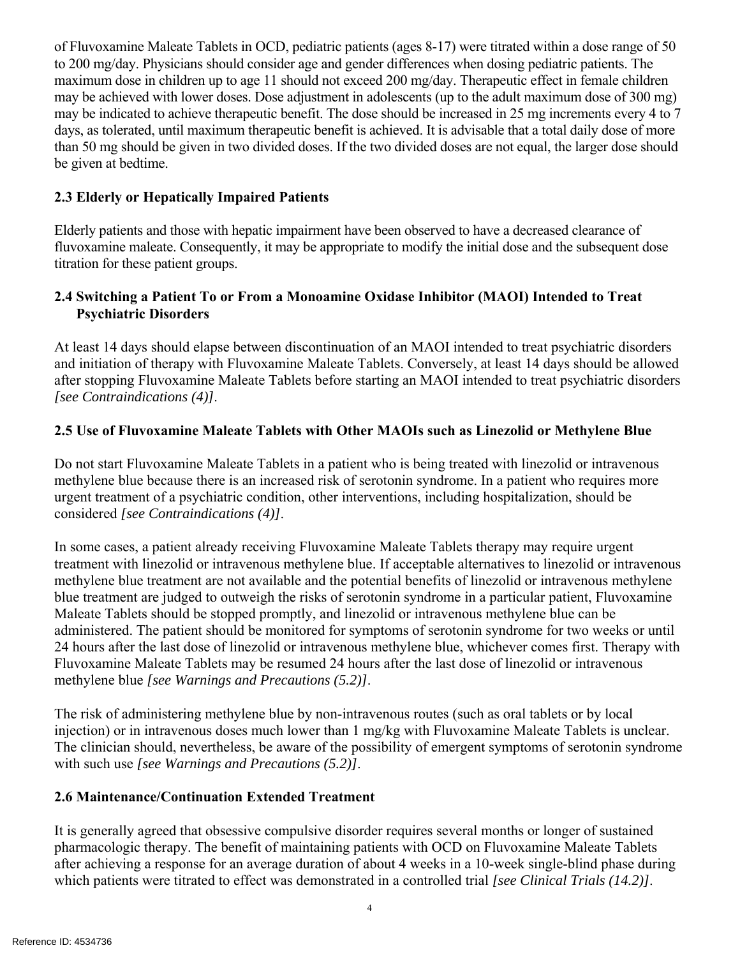of Fluvoxamine Maleate Tablets in OCD, pediatric patients (ages 8-17) were titrated within a dose range of 50 to 200 mg/day. Physicians should consider age and gender differences when dosing pediatric patients. The maximum dose in children up to age 11 should not exceed 200 mg/day. Therapeutic effect in female children may be achieved with lower doses. Dose adjustment in adolescents (up to the adult maximum dose of 300 mg) may be indicated to achieve therapeutic benefit. The dose should be increased in 25 mg increments every 4 to 7 days, as tolerated, until maximum therapeutic benefit is achieved. It is advisable that a total daily dose of more than 50 mg should be given in two divided doses. If the two divided doses are not equal, the larger dose should be given at bedtime.

# **2.3 Elderly or Hepatically Impaired Patients**

Elderly patients and those with hepatic impairment have been observed to have a decreased clearance of fluvoxamine maleate. Consequently, it may be appropriate to modify the initial dose and the subsequent dose titration for these patient groups.

## **2.4 Switching a Patient To or From a Monoamine Oxidase Inhibitor (MAOI) Intended to Treat Psychiatric Disorders**

At least 14 days should elapse between discontinuation of an MAOI intended to treat psychiatric disorders and initiation of therapy with Fluvoxamine Maleate Tablets. Conversely, at least 14 days should be allowed after stopping Fluvoxamine Maleate Tablets before starting an MAOI intended to treat psychiatric disorders *[see Contraindications (4)]*.

# **2.5 Use of Fluvoxamine Maleate Tablets with Other MAOIs such as Linezolid or Methylene Blue**

Do not start Fluvoxamine Maleate Tablets in a patient who is being treated with linezolid or intravenous methylene blue because there is an increased risk of serotonin syndrome. In a patient who requires more urgent treatment of a psychiatric condition, other interventions, including hospitalization, should be considered *[see Contraindications (4)]*.

In some cases, a patient already receiving Fluvoxamine Maleate Tablets therapy may require urgent treatment with linezolid or intravenous methylene blue. If acceptable alternatives to linezolid or intravenous methylene blue treatment are not available and the potential benefits of linezolid or intravenous methylene blue treatment are judged to outweigh the risks of serotonin syndrome in a particular patient, Fluvoxamine Maleate Tablets should be stopped promptly, and linezolid or intravenous methylene blue can be administered. The patient should be monitored for symptoms of serotonin syndrome for two weeks or until 24 hours after the last dose of linezolid or intravenous methylene blue, whichever comes first. Therapy with Fluvoxamine Maleate Tablets may be resumed 24 hours after the last dose of linezolid or intravenous methylene blue *[see Warnings and Precautions (5.2)]*.

The risk of administering methylene blue by non-intravenous routes (such as oral tablets or by local injection) or in intravenous doses much lower than 1 mg/kg with Fluvoxamine Maleate Tablets is unclear. The clinician should, nevertheless, be aware of the possibility of emergent symptoms of serotonin syndrome with such use *[see Warnings and Precautions (5.2)]*.

## **2.6 Maintenance/Continuation Extended Treatment**

It is generally agreed that obsessive compulsive disorder requires several months or longer of sustained pharmacologic therapy. The benefit of maintaining patients with OCD on Fluvoxamine Maleate Tablets after achieving a response for an average duration of about 4 weeks in a 10-week single-blind phase during which patients were titrated to effect was demonstrated in a controlled trial *[see Clinical Trials (14.2)]*.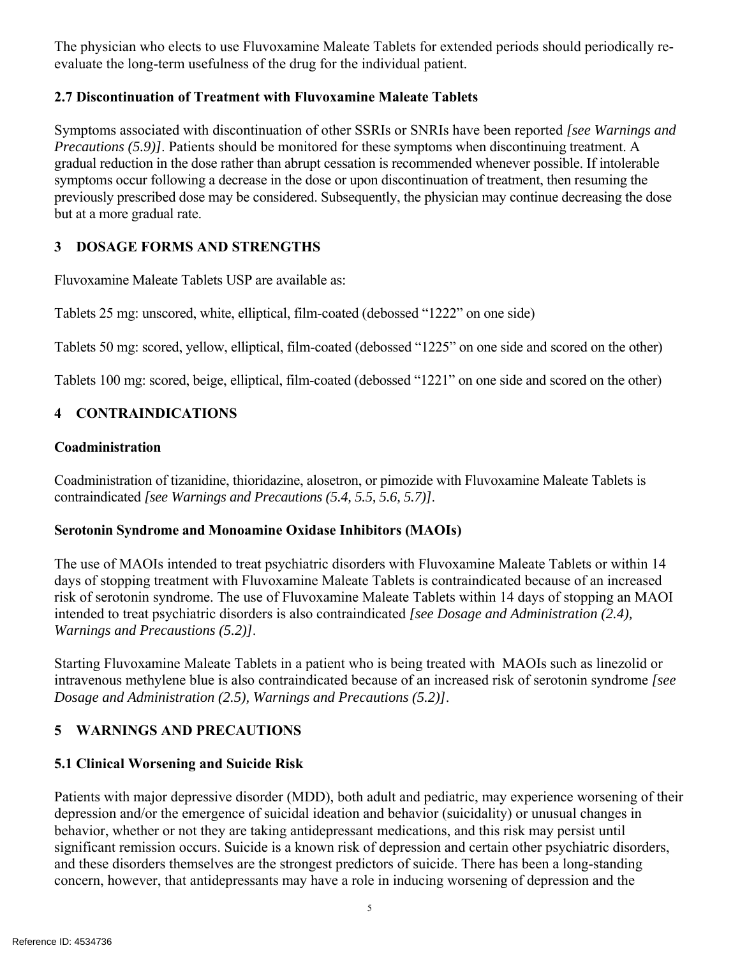The physician who elects to use Fluvoxamine Maleate Tablets for extended periods should periodically reevaluate the long-term usefulness of the drug for the individual patient.

# **2.7 Discontinuation of Treatment with Fluvoxamine Maleate Tablets**

 *Precautions (5.9)]*. Patients should be monitored for these symptoms when discontinuing treatment. A Symptoms associated with discontinuation of other SSRIs or SNRIs have been reported *[see Warnings and*  gradual reduction in the dose rather than abrupt cessation is recommended whenever possible. If intolerable symptoms occur following a decrease in the dose or upon discontinuation of treatment, then resuming the previously prescribed dose may be considered. Subsequently, the physician may continue decreasing the dose but at a more gradual rate.

# **3 DOSAGE FORMS AND STRENGTHS**

Fluvoxamine Maleate Tablets USP are available as:

Tablets 25 mg: unscored, white, elliptical, film-coated (debossed "1222" on one side)

Tablets 50 mg: scored, yellow, elliptical, film-coated (debossed "1225" on one side and scored on the other)

Tablets 100 mg: scored, beige, elliptical, film-coated (debossed "1221" on one side and scored on the other)

# **4 CONTRAINDICATIONS**

# **Coadministration**

Coadministration of tizanidine, thioridazine, alosetron, or pimozide with Fluvoxamine Maleate Tablets is contraindicated *[see Warnings and Precautions (5.4, 5.5, 5.6, 5.7)]*.

# **Serotonin Syndrome and Monoamine Oxidase Inhibitors (MAOIs)**

The use of MAOIs intended to treat psychiatric disorders with Fluvoxamine Maleate Tablets or within 14 days of stopping treatment with Fluvoxamine Maleate Tablets is contraindicated because of an increased risk of serotonin syndrome. The use of Fluvoxamine Maleate Tablets within 14 days of stopping an MAOI intended to treat psychiatric disorders is also contraindicated *[see Dosage and Administration (2.4), Warnings and Precaustions (5.2)]*.

Starting Fluvoxamine Maleate Tablets in a patient who is being treated with MAOIs such as linezolid or intravenous methylene blue is also contraindicated because of an increased risk of serotonin syndrome *[see Dosage and Administration (2.5), Warnings and Precautions (5.2)]*.

# **5 WARNINGS AND PRECAUTIONS**

# **5.1 Clinical Worsening and Suicide Risk**

Patients with major depressive disorder (MDD), both adult and pediatric, may experience worsening of their depression and/or the emergence of suicidal ideation and behavior (suicidality) or unusual changes in behavior, whether or not they are taking antidepressant medications, and this risk may persist until significant remission occurs. Suicide is a known risk of depression and certain other psychiatric disorders, and these disorders themselves are the strongest predictors of suicide. There has been a long-standing concern, however, that antidepressants may have a role in inducing worsening of depression and the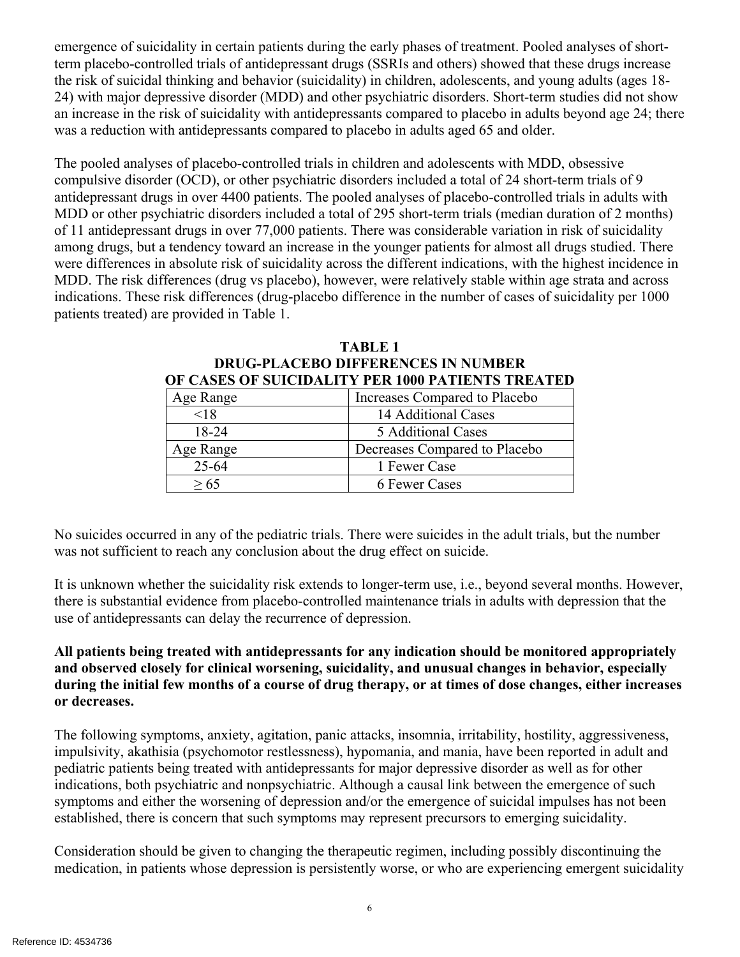emergence of suicidality in certain patients during the early phases of treatment. Pooled analyses of shortterm placebo-controlled trials of antidepressant drugs (SSRIs and others) showed that these drugs increase the risk of suicidal thinking and behavior (suicidality) in children, adolescents, and young adults (ages 18- 24) with major depressive disorder (MDD) and other psychiatric disorders. Short-term studies did not show an increase in the risk of suicidality with antidepressants compared to placebo in adults beyond age 24; there was a reduction with antidepressants compared to placebo in adults aged 65 and older.

The pooled analyses of placebo-controlled trials in children and adolescents with MDD, obsessive compulsive disorder (OCD), or other psychiatric disorders included a total of 24 short-term trials of 9 antidepressant drugs in over 4400 patients. The pooled analyses of placebo-controlled trials in adults with MDD or other psychiatric disorders included a total of 295 short-term trials (median duration of 2 months) of 11 antidepressant drugs in over 77,000 patients. There was considerable variation in risk of suicidality among drugs, but a tendency toward an increase in the younger patients for almost all drugs studied. There were differences in absolute risk of suicidality across the different indications, with the highest incidence in MDD. The risk differences (drug vs placebo), however, were relatively stable within age strata and across indications. These risk differences (drug-placebo difference in the number of cases of suicidality per 1000 patients treated) are provided in Table 1.

| VI VAVED VI DUIUIDAEH I I EIVIVVI AHTERID TIVEATED |                               |  |
|----------------------------------------------------|-------------------------------|--|
| Age Range                                          | Increases Compared to Placebo |  |
| < 18                                               | 14 Additional Cases           |  |
| 18-24                                              | 5 Additional Cases            |  |
| Age Range                                          | Decreases Compared to Placebo |  |
| $25 - 64$                                          | 1 Fewer Case                  |  |
| > 65                                               | 6 Fewer Cases                 |  |

| TABLE 1                                           |
|---------------------------------------------------|
| <b>DRUG-PLACEBO DIFFERENCES IN NUMBER</b>         |
| OF CASES OF SUICIDALITY PER 1000 PATIENTS TREATED |

No suicides occurred in any of the pediatric trials. There were suicides in the adult trials, but the number was not sufficient to reach any conclusion about the drug effect on suicide.

It is unknown whether the suicidality risk extends to longer-term use, i.e., beyond several months. However, there is substantial evidence from placebo-controlled maintenance trials in adults with depression that the use of antidepressants can delay the recurrence of depression.

## **All patients being treated with antidepressants for any indication should be monitored appropriately and observed closely for clinical worsening, suicidality, and unusual changes in behavior, especially during the initial few months of a course of drug therapy, or at times of dose changes, either increases or decreases.**

The following symptoms, anxiety, agitation, panic attacks, insomnia, irritability, hostility, aggressiveness, impulsivity, akathisia (psychomotor restlessness), hypomania, and mania, have been reported in adult and pediatric patients being treated with antidepressants for major depressive disorder as well as for other indications, both psychiatric and nonpsychiatric. Although a causal link between the emergence of such symptoms and either the worsening of depression and/or the emergence of suicidal impulses has not been established, there is concern that such symptoms may represent precursors to emerging suicidality.

Consideration should be given to changing the therapeutic regimen, including possibly discontinuing the medication, in patients whose depression is persistently worse, or who are experiencing emergent suicidality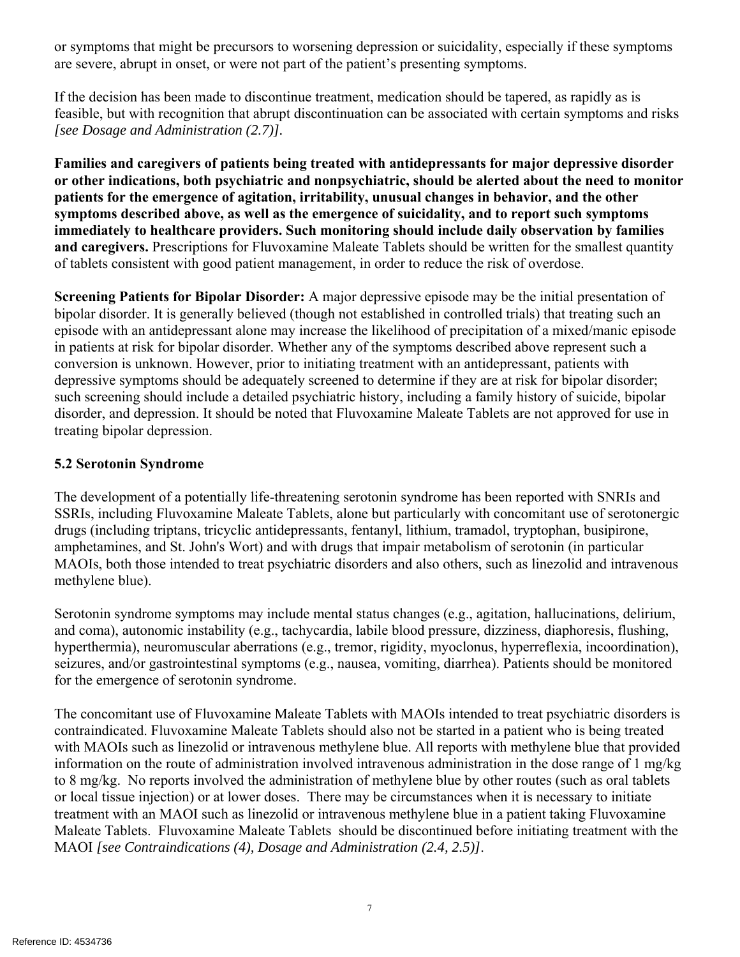or symptoms that might be precursors to worsening depression or suicidality, especially if these symptoms are severe, abrupt in onset, or were not part of the patient's presenting symptoms.

If the decision has been made to discontinue treatment, medication should be tapered, as rapidly as is feasible, but with recognition that abrupt discontinuation can be associated with certain symptoms and risks *[see Dosage and Administration (2.7)].* 

**Families and caregivers of patients being treated with antidepressants for major depressive disorder or other indications, both psychiatric and nonpsychiatric, should be alerted about the need to monitor patients for the emergence of agitation, irritability, unusual changes in behavior, and the other symptoms described above, as well as the emergence of suicidality, and to report such symptoms immediately to healthcare providers. Such monitoring should include daily observation by families and caregivers.** Prescriptions for Fluvoxamine Maleate Tablets should be written for the smallest quantity of tablets consistent with good patient management, in order to reduce the risk of overdose.

**Screening Patients for Bipolar Disorder:** A major depressive episode may be the initial presentation of bipolar disorder. It is generally believed (though not established in controlled trials) that treating such an episode with an antidepressant alone may increase the likelihood of precipitation of a mixed/manic episode in patients at risk for bipolar disorder. Whether any of the symptoms described above represent such a conversion is unknown. However, prior to initiating treatment with an antidepressant, patients with depressive symptoms should be adequately screened to determine if they are at risk for bipolar disorder; such screening should include a detailed psychiatric history, including a family history of suicide, bipolar disorder, and depression. It should be noted that Fluvoxamine Maleate Tablets are not approved for use in treating bipolar depression.

## **5.2 Serotonin Syndrome**

The development of a potentially life-threatening serotonin syndrome has been reported with SNRIs and SSRIs, including Fluvoxamine Maleate Tablets, alone but particularly with concomitant use of serotonergic drugs (including triptans, tricyclic antidepressants, fentanyl, lithium, tramadol, tryptophan, busipirone, amphetamines, and St. John's Wort) and with drugs that impair metabolism of serotonin (in particular MAOIs, both those intended to treat psychiatric disorders and also others, such as linezolid and intravenous methylene blue).

Serotonin syndrome symptoms may include mental status changes (e.g., agitation, hallucinations, delirium, and coma), autonomic instability (e.g., tachycardia, labile blood pressure, dizziness, diaphoresis, flushing, hyperthermia), neuromuscular aberrations (e.g., tremor, rigidity, myoclonus, hyperreflexia, incoordination), seizures, and/or gastrointestinal symptoms (e.g., nausea, vomiting, diarrhea). Patients should be monitored for the emergence of serotonin syndrome.

The concomitant use of Fluvoxamine Maleate Tablets with MAOIs intended to treat psychiatric disorders is contraindicated. Fluvoxamine Maleate Tablets should also not be started in a patient who is being treated with MAOIs such as linezolid or intravenous methylene blue. All reports with methylene blue that provided information on the route of administration involved intravenous administration in the dose range of 1 mg/kg to 8 mg/kg. No reports involved the administration of methylene blue by other routes (such as oral tablets or local tissue injection) or at lower doses. There may be circumstances when it is necessary to initiate treatment with an MAOI such as linezolid or intravenous methylene blue in a patient taking Fluvoxamine Maleate Tablets. Fluvoxamine Maleate Tablets should be discontinued before initiating treatment with the MAOI *[see Contraindications (4), Dosage and Administration (2.4, 2.5)]*.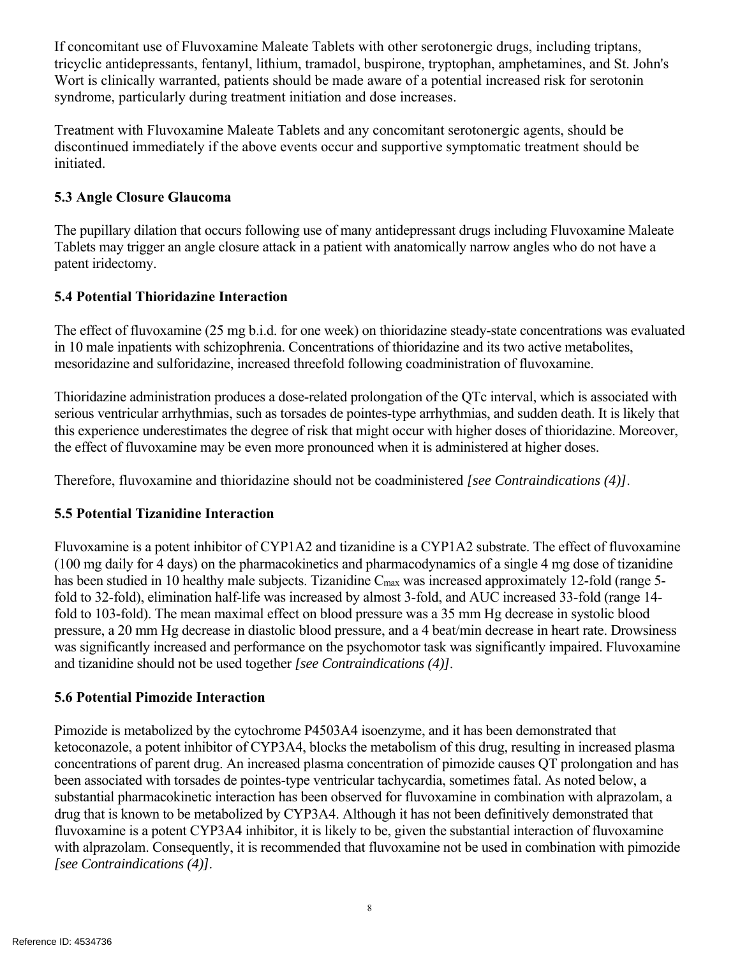If concomitant use of Fluvoxamine Maleate Tablets with other serotonergic drugs, including triptans, tricyclic antidepressants, fentanyl, lithium, tramadol, buspirone, tryptophan, amphetamines, and St. John's Wort is clinically warranted, patients should be made aware of a potential increased risk for serotonin syndrome, particularly during treatment initiation and dose increases.

Treatment with Fluvoxamine Maleate Tablets and any concomitant serotonergic agents, should be discontinued immediately if the above events occur and supportive symptomatic treatment should be initiated.

# **5.3 Angle Closure Glaucoma**

The pupillary dilation that occurs following use of many antidepressant drugs including Fluvoxamine Maleate Tablets may trigger an angle closure attack in a patient with anatomically narrow angles who do not have a patent iridectomy.

# **5.4 Potential Thioridazine Interaction**

The effect of fluvoxamine (25 mg b.i.d. for one week) on thioridazine steady-state concentrations was evaluated in 10 male inpatients with schizophrenia. Concentrations of thioridazine and its two active metabolites, mesoridazine and sulforidazine, increased threefold following coadministration of fluvoxamine.

Thioridazine administration produces a dose-related prolongation of the QTc interval, which is associated with serious ventricular arrhythmias, such as torsades de pointes-type arrhythmias, and sudden death. It is likely that this experience underestimates the degree of risk that might occur with higher doses of thioridazine. Moreover, the effect of fluvoxamine may be even more pronounced when it is administered at higher doses.

Therefore, fluvoxamine and thioridazine should not be coadministered *[see Contraindications (4)]*.

# **5.5 Potential Tizanidine Interaction**

Fluvoxamine is a potent inhibitor of CYP1A2 and tizanidine is a CYP1A2 substrate. The effect of fluvoxamine (100 mg daily for 4 days) on the pharmacokinetics and pharmacodynamics of a single 4 mg dose of tizanidine has been studied in 10 healthy male subjects. Tizanidine  $C_{\text{max}}$  was increased approximately 12-fold (range 5fold to 32-fold), elimination half-life was increased by almost 3-fold, and AUC increased 33-fold (range 14 fold to 103-fold). The mean maximal effect on blood pressure was a 35 mm Hg decrease in systolic blood pressure, a 20 mm Hg decrease in diastolic blood pressure, and a 4 beat/min decrease in heart rate. Drowsiness was significantly increased and performance on the psychomotor task was significantly impaired. Fluvoxamine and tizanidine should not be used together *[see Contraindications (4)]*.

# **5.6 Potential Pimozide Interaction**

Pimozide is metabolized by the cytochrome P4503A4 isoenzyme, and it has been demonstrated that ketoconazole, a potent inhibitor of CYP3A4, blocks the metabolism of this drug, resulting in increased plasma concentrations of parent drug. An increased plasma concentration of pimozide causes QT prolongation and has been associated with torsades de pointes-type ventricular tachycardia, sometimes fatal. As noted below, a substantial pharmacokinetic interaction has been observed for fluvoxamine in combination with alprazolam, a drug that is known to be metabolized by CYP3A4. Although it has not been definitively demonstrated that fluvoxamine is a potent CYP3A4 inhibitor, it is likely to be, given the substantial interaction of fluvoxamine with alprazolam. Consequently, it is recommended that fluvoxamine not be used in combination with pimozide *[see Contraindications (4)]*.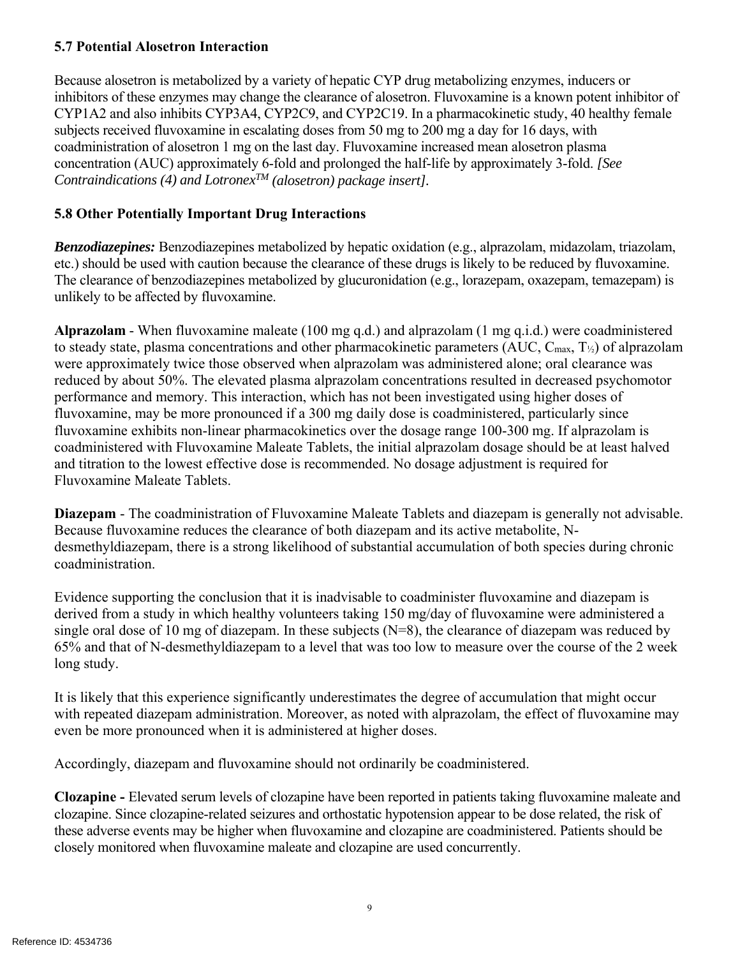# **5.7 Potential Alosetron Interaction**

 inhibitors of these enzymes may change the clearance of alosetron. Fluvoxamine is a known potent inhibitor of Because alosetron is metabolized by a variety of hepatic CYP drug metabolizing enzymes, inducers or CYP1A2 and also inhibits CYP3A4, CYP2C9, and CYP2C19. In a pharmacokinetic study, 40 healthy female subjects received fluvoxamine in escalating doses from 50 mg to 200 mg a day for 16 days, with coadministration of alosetron 1 mg on the last day. Fluvoxamine increased mean alosetron plasma concentration (AUC) approximately 6-fold and prolonged the half-life by approximately 3-fold. *[See Contraindications (4) and LotronexTM (alosetron) package insert].* 

# **5.8 Other Potentially Important Drug Interactions**

 etc.) should be used with caution because the clearance of these drugs is likely to be reduced by fluvoxamine. *Benzodiazepines:* Benzodiazepines metabolized by hepatic oxidation (e.g., alprazolam, midazolam, triazolam, The clearance of benzodiazepines metabolized by glucuronidation (e.g., lorazepam, oxazepam, temazepam) is unlikely to be affected by fluvoxamine.

**Alprazolam** - When fluvoxamine maleate (100 mg q.d.) and alprazolam (1 mg q.i.d.) were coadministered to steady state, plasma concentrations and other pharmacokinetic parameters (AUC,  $C_{\text{max}}$ ,  $T_{\text{2}}$ ) of alprazolam were approximately twice those observed when alprazolam was administered alone; oral clearance was reduced by about 50%. The elevated plasma alprazolam concentrations resulted in decreased psychomotor performance and memory. This interaction, which has not been investigated using higher doses of fluvoxamine, may be more pronounced if a 300 mg daily dose is coadministered, particularly since fluvoxamine exhibits non-linear pharmacokinetics over the dosage range 100-300 mg. If alprazolam is coadministered with Fluvoxamine Maleate Tablets, the initial alprazolam dosage should be at least halved and titration to the lowest effective dose is recommended. No dosage adjustment is required for Fluvoxamine Maleate Tablets.

**Diazepam** - The coadministration of Fluvoxamine Maleate Tablets and diazepam is generally not advisable. Because fluvoxamine reduces the clearance of both diazepam and its active metabolite, Ndesmethyldiazepam, there is a strong likelihood of substantial accumulation of both species during chronic coadministration.

Evidence supporting the conclusion that it is inadvisable to coadminister fluvoxamine and diazepam is derived from a study in which healthy volunteers taking 150 mg/day of fluvoxamine were administered a single oral dose of 10 mg of diazepam. In these subjects  $(N=8)$ , the clearance of diazepam was reduced by 65% and that of N-desmethyldiazepam to a level that was too low to measure over the course of the 2 week long study.

It is likely that this experience significantly underestimates the degree of accumulation that might occur with repeated diazepam administration. Moreover, as noted with alprazolam, the effect of fluvoxamine may even be more pronounced when it is administered at higher doses.

Accordingly, diazepam and fluvoxamine should not ordinarily be coadministered.

**Clozapine -** Elevated serum levels of clozapine have been reported in patients taking fluvoxamine maleate and clozapine. Since clozapine-related seizures and orthostatic hypotension appear to be dose related, the risk of these adverse events may be higher when fluvoxamine and clozapine are coadministered. Patients should be closely monitored when fluvoxamine maleate and clozapine are used concurrently.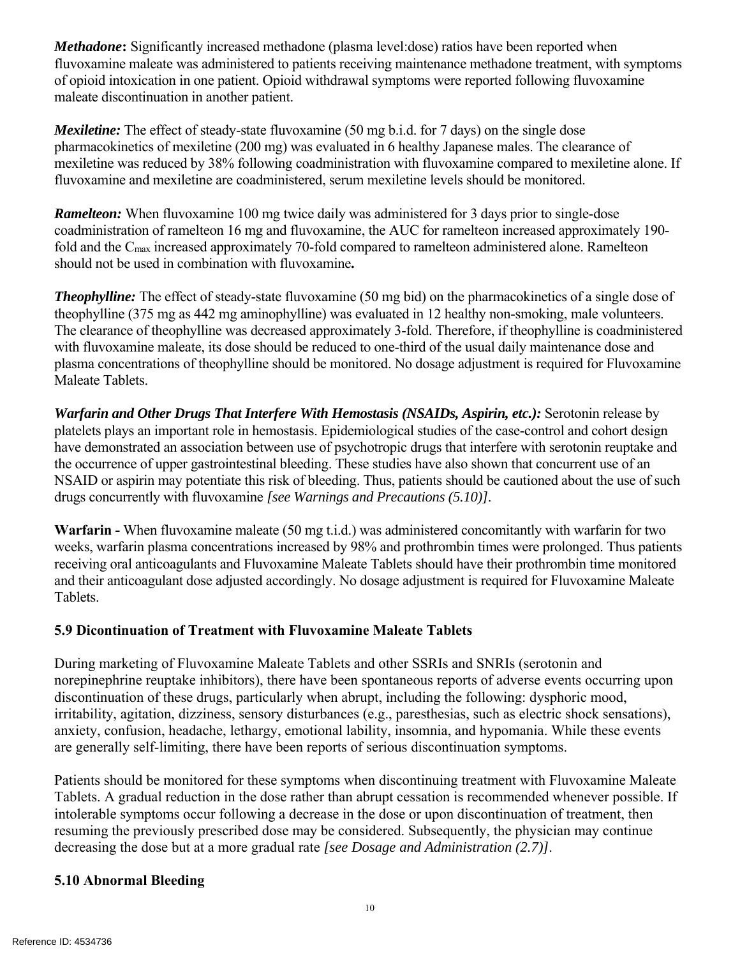fluvoxamine maleate was administered to patients receiving maintenance methadone treatment, with symptoms *Methadone*: Significantly increased methadone (plasma level:dose) ratios have been reported when of opioid intoxication in one patient. Opioid withdrawal symptoms were reported following fluvoxamine maleate discontinuation in another patient.

 *Mexiletine:* The effect of steady-state fluvoxamine (50 mg b.i.d. for 7 days) on the single dose pharmacokinetics of mexiletine (200 mg) was evaluated in 6 healthy Japanese males. The clearance of mexiletine was reduced by 38% following coadministration with fluvoxamine compared to mexiletine alone. If fluvoxamine and mexiletine are coadministered, serum mexiletine levels should be monitored.

**Ramelteon:** When fluvoxamine 100 mg twice daily was administered for 3 days prior to single-dose coadministration of ramelteon 16 mg and fluvoxamine, the AUC for ramelteon increased approximately 190 fold and the C<sub>max</sub> increased approximately 70-fold compared to ramelteon administered alone. Ramelteon should not be used in combination with fluvoxamine**.** 

*Theophylline:* The effect of steady-state fluvoxamine (50 mg bid) on the pharmacokinetics of a single dose of theophylline (375 mg as 442 mg aminophylline) was evaluated in 12 healthy non-smoking, male volunteers. The clearance of theophylline was decreased approximately 3-fold. Therefore, if theophylline is coadministered with fluvoxamine maleate, its dose should be reduced to one-third of the usual daily maintenance dose and plasma concentrations of theophylline should be monitored. No dosage adjustment is required for Fluvoxamine Maleate Tablets.

 drugs concurrently with fluvoxamine *[see Warnings and Precautions (5.10)]*. *Warfarin and Other Drugs That Interfere With Hemostasis (NSAIDs, Aspirin, etc.): Serotonin release by* platelets plays an important role in hemostasis. Epidemiological studies of the case-control and cohort design have demonstrated an association between use of psychotropic drugs that interfere with serotonin reuptake and the occurrence of upper gastrointestinal bleeding. These studies have also shown that concurrent use of an NSAID or aspirin may potentiate this risk of bleeding. Thus, patients should be cautioned about the use of such

**Warfarin -** When fluvoxamine maleate (50 mg t.i.d.) was administered concomitantly with warfarin for two weeks, warfarin plasma concentrations increased by 98% and prothrombin times were prolonged. Thus patients receiving oral anticoagulants and Fluvoxamine Maleate Tablets should have their prothrombin time monitored and their anticoagulant dose adjusted accordingly. No dosage adjustment is required for Fluvoxamine Maleate Tablets.

## **5.9 Dicontinuation of Treatment with Fluvoxamine Maleate Tablets**

During marketing of Fluvoxamine Maleate Tablets and other SSRIs and SNRIs (serotonin and norepinephrine reuptake inhibitors), there have been spontaneous reports of adverse events occurring upon discontinuation of these drugs, particularly when abrupt, including the following: dysphoric mood, irritability, agitation, dizziness, sensory disturbances (e.g., paresthesias, such as electric shock sensations), anxiety, confusion, headache, lethargy, emotional lability, insomnia, and hypomania. While these events are generally self-limiting, there have been reports of serious discontinuation symptoms.

Patients should be monitored for these symptoms when discontinuing treatment with Fluvoxamine Maleate Tablets. A gradual reduction in the dose rather than abrupt cessation is recommended whenever possible. If intolerable symptoms occur following a decrease in the dose or upon discontinuation of treatment, then resuming the previously prescribed dose may be considered. Subsequently, the physician may continue decreasing the dose but at a more gradual rate *[see Dosage and Administration (2.7)]*.

# **5.10 Abnormal Bleeding**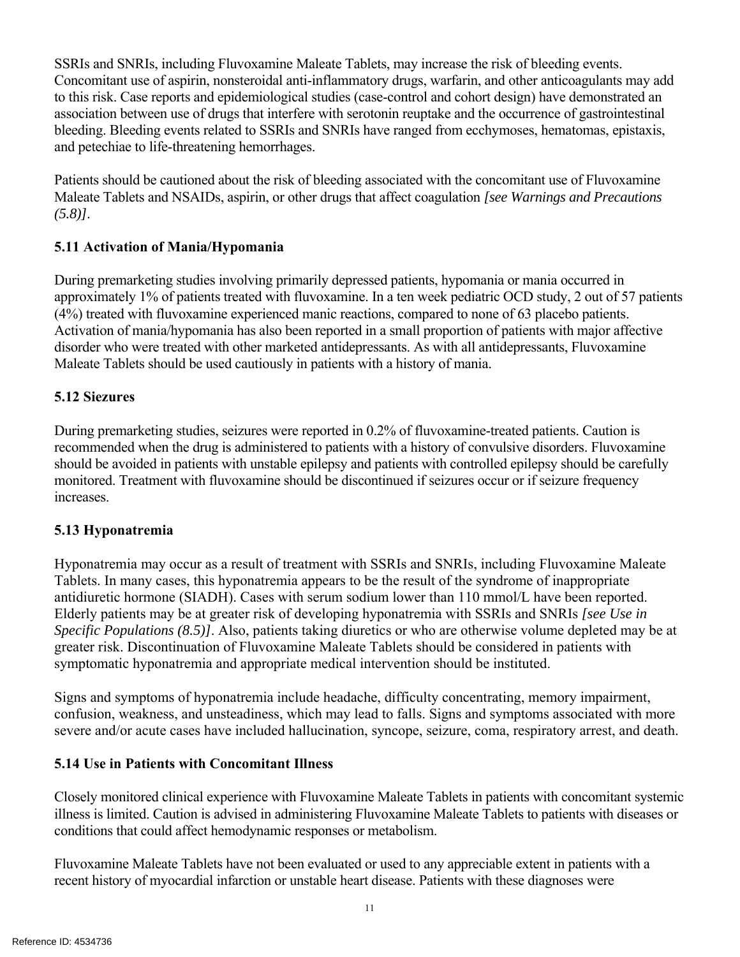SSRIs and SNRIs, including Fluvoxamine Maleate Tablets, may increase the risk of bleeding events. Concomitant use of aspirin, nonsteroidal anti-inflammatory drugs, warfarin, and other anticoagulants may add to this risk. Case reports and epidemiological studies (case-control and cohort design) have demonstrated an association between use of drugs that interfere with serotonin reuptake and the occurrence of gastrointestinal bleeding. Bleeding events related to SSRIs and SNRIs have ranged from ecchymoses, hematomas, epistaxis, and petechiae to life-threatening hemorrhages.

Patients should be cautioned about the risk of bleeding associated with the concomitant use of Fluvoxamine Maleate Tablets and NSAIDs, aspirin, or other drugs that affect coagulation *[see Warnings and Precautions (5.8)]*.

# **5.11 Activation of Mania/Hypomania**

During premarketing studies involving primarily depressed patients, hypomania or mania occurred in approximately 1% of patients treated with fluvoxamine. In a ten week pediatric OCD study, 2 out of 57 patients (4%) treated with fluvoxamine experienced manic reactions, compared to none of 63 placebo patients. Activation of mania/hypomania has also been reported in a small proportion of patients with major affective disorder who were treated with other marketed antidepressants. As with all antidepressants, Fluvoxamine Maleate Tablets should be used cautiously in patients with a history of mania.

## **5.12 Siezures**

During premarketing studies, seizures were reported in 0.2% of fluvoxamine-treated patients. Caution is recommended when the drug is administered to patients with a history of convulsive disorders. Fluvoxamine should be avoided in patients with unstable epilepsy and patients with controlled epilepsy should be carefully monitored. Treatment with fluvoxamine should be discontinued if seizures occur or if seizure frequency increases.

## **5.13 Hyponatremia**

Hyponatremia may occur as a result of treatment with SSRIs and SNRIs, including Fluvoxamine Maleate Tablets. In many cases, this hyponatremia appears to be the result of the syndrome of inappropriate antidiuretic hormone (SIADH). Cases with serum sodium lower than 110 mmol/L have been reported. Elderly patients may be at greater risk of developing hyponatremia with SSRIs and SNRIs *[see Use in Specific Populations (8.5)]*. Also, patients taking diuretics or who are otherwise volume depleted may be at greater risk. Discontinuation of Fluvoxamine Maleate Tablets should be considered in patients with symptomatic hyponatremia and appropriate medical intervention should be instituted.

Signs and symptoms of hyponatremia include headache, difficulty concentrating, memory impairment, confusion, weakness, and unsteadiness, which may lead to falls. Signs and symptoms associated with more severe and/or acute cases have included hallucination, syncope, seizure, coma, respiratory arrest, and death.

## **5.14 Use in Patients with Concomitant Illness**

Closely monitored clinical experience with Fluvoxamine Maleate Tablets in patients with concomitant systemic illness is limited. Caution is advised in administering Fluvoxamine Maleate Tablets to patients with diseases or conditions that could affect hemodynamic responses or metabolism.

 Fluvoxamine Maleate Tablets have not been evaluated or used to any appreciable extent in patients with a recent history of myocardial infarction or unstable heart disease. Patients with these diagnoses were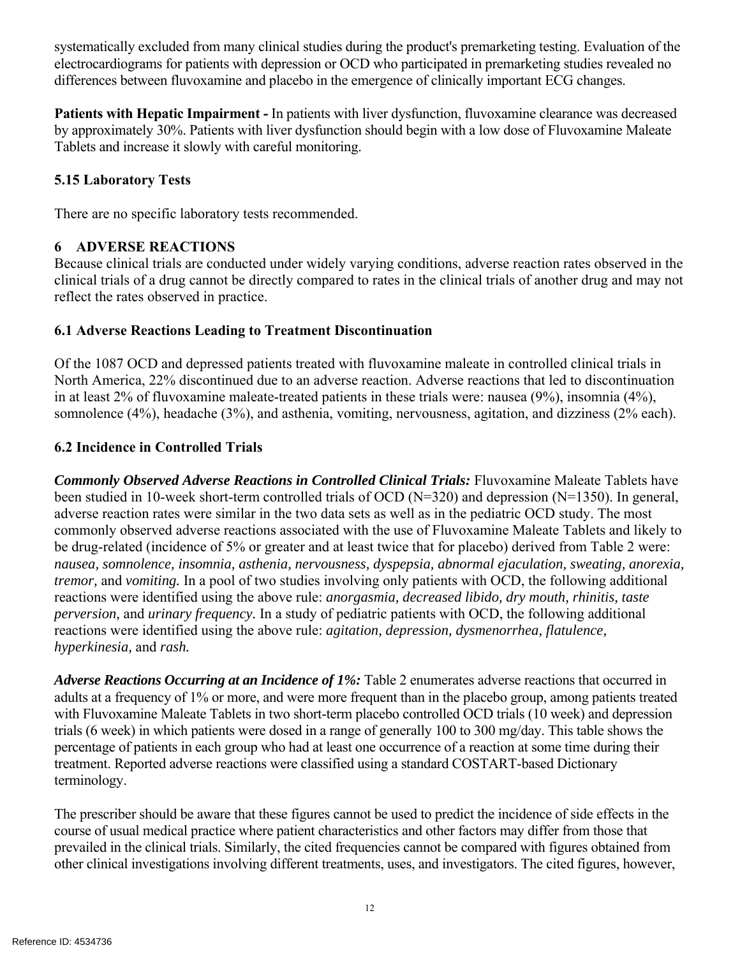systematically excluded from many clinical studies during the product's premarketing testing. Evaluation of the electrocardiograms for patients with depression or OCD who participated in premarketing studies revealed no differences between fluvoxamine and placebo in the emergence of clinically important ECG changes.

 Tablets and increase it slowly with careful monitoring. **Patients with Hepatic Impairment -** In patients with liver dysfunction, fluvoxamine clearance was decreased by approximately 30%. Patients with liver dysfunction should begin with a low dose of Fluvoxamine Maleate

# **5.15 Laboratory Tests**

There are no specific laboratory tests recommended.

# **6 ADVERSE REACTIONS**

Because clinical trials are conducted under widely varying conditions, adverse reaction rates observed in the clinical trials of a drug cannot be directly compared to rates in the clinical trials of another drug and may not reflect the rates observed in practice.

## **6.1 Adverse Reactions Leading to Treatment Discontinuation**

Of the 1087 OCD and depressed patients treated with fluvoxamine maleate in controlled clinical trials in North America, 22% discontinued due to an adverse reaction. Adverse reactions that led to discontinuation in at least 2% of fluvoxamine maleate-treated patients in these trials were: nausea (9%), insomnia (4%), somnolence (4%), headache (3%), and asthenia, vomiting, nervousness, agitation, and dizziness (2% each).

# **6.2 Incidence in Controlled Trials**

*Commonly Observed Adverse Reactions in Controlled Clinical Trials:* Fluvoxamine Maleate Tablets have been studied in 10-week short-term controlled trials of OCD (N=320) and depression (N=1350). In general, adverse reaction rates were similar in the two data sets as well as in the pediatric OCD study. The most commonly observed adverse reactions associated with the use of Fluvoxamine Maleate Tablets and likely to be drug-related (incidence of 5% or greater and at least twice that for placebo) derived from Table 2 were: *nausea, somnolence, insomnia, asthenia, nervousness, dyspepsia, abnormal ejaculation, sweating, anorexia, tremor,* and *vomiting.* In a pool of two studies involving only patients with OCD, the following additional reactions were identified using the above rule: *anorgasmia, decreased libido, dry mouth, rhinitis, taste perversion,* and *urinary frequency.* In a study of pediatric patients with OCD, the following additional reactions were identified using the above rule: *agitation, depression, dysmenorrhea, flatulence, hyperkinesia,* and *rash.* 

*Adverse Reactions Occurring at an Incidence of 1%:* Table 2 enumerates adverse reactions that occurred in adults at a frequency of 1% or more, and were more frequent than in the placebo group, among patients treated with Fluvoxamine Maleate Tablets in two short-term placebo controlled OCD trials (10 week) and depression trials (6 week) in which patients were dosed in a range of generally 100 to 300 mg/day. This table shows the percentage of patients in each group who had at least one occurrence of a reaction at some time during their treatment. Reported adverse reactions were classified using a standard COSTART-based Dictionary terminology.

 The prescriber should be aware that these figures cannot be used to predict the incidence of side effects in the prevailed in the clinical trials. Similarly, the cited frequencies cannot be compared with figures obtained from course of usual medical practice where patient characteristics and other factors may differ from those that other clinical investigations involving different treatments, uses, and investigators. The cited figures, however,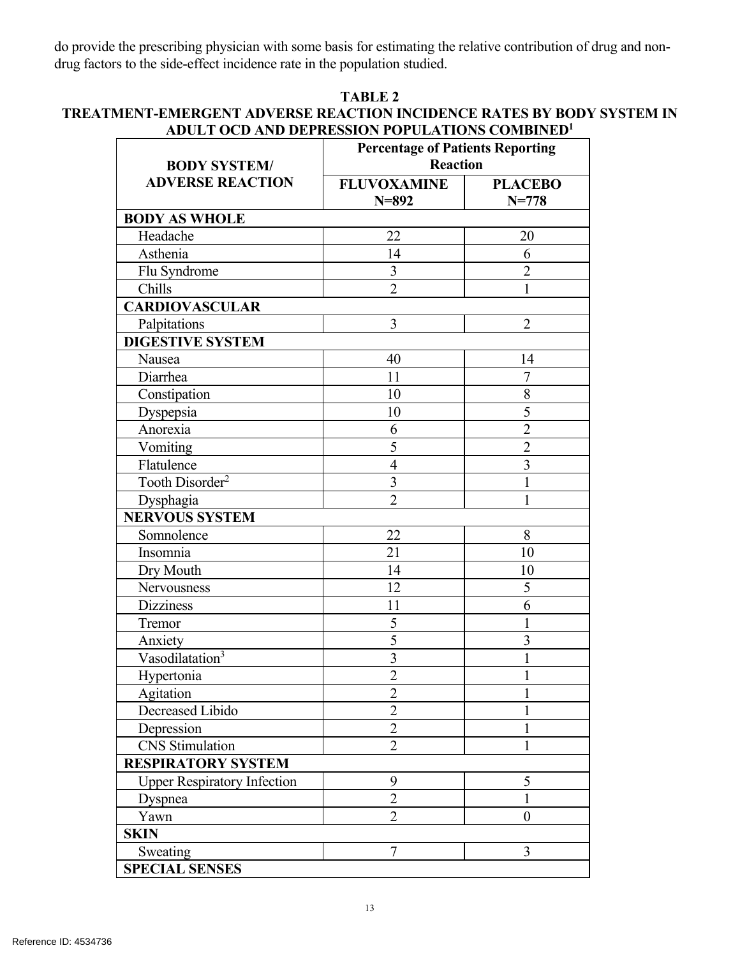do provide the prescribing physician with some basis for estimating the relative contribution of drug and nondrug factors to the side-effect incidence rate in the population studied.

## **TABLE 2 TREATMENT-EMERGENT ADVERSE REACTION INCIDENCE RATES BY BODY SYSTEM IN ADULT OCD AND DEPRESSION POPULATIONS COMBINED1**

| <b>BODY SYSTEM/</b>                | <b>Percentage of Patients Reporting</b><br><b>Reaction</b> |                             |
|------------------------------------|------------------------------------------------------------|-----------------------------|
| <b>ADVERSE REACTION</b>            | <b>FLUVOXAMINE</b><br>$N = 892$                            | <b>PLACEBO</b><br>$N = 778$ |
| <b>BODY AS WHOLE</b>               |                                                            |                             |
| Headache                           | 22                                                         | 20                          |
| Asthenia                           | 14                                                         | 6                           |
| Flu Syndrome                       | $\overline{3}$                                             | $\overline{2}$              |
| Chills                             | $\overline{2}$                                             | 1                           |
| <b>CARDIOVASCULAR</b>              |                                                            |                             |
| Palpitations                       | $\overline{3}$                                             | $\overline{2}$              |
| <b>DIGESTIVE SYSTEM</b>            |                                                            |                             |
| Nausea                             | 40                                                         | 14                          |
| Diarrhea                           | 11                                                         | $\overline{7}$              |
| Constipation                       | 10                                                         | 8                           |
| Dyspepsia                          | 10                                                         | 5                           |
| Anorexia                           | 6                                                          | $\overline{2}$              |
| Vomiting                           | 5                                                          | $\overline{2}$              |
| Flatulence                         | $\overline{4}$                                             | $\overline{3}$              |
| Tooth Disorder <sup>2</sup>        | 3                                                          | 1                           |
| Dysphagia                          | $\overline{2}$                                             | 1                           |
| <b>NERVOUS SYSTEM</b>              |                                                            |                             |
| Somnolence                         | 22                                                         | 8                           |
| Insomnia                           | 21                                                         | 10                          |
| Dry Mouth                          | 14                                                         | 10                          |
| Nervousness                        | 12                                                         | 5                           |
| <b>Dizziness</b>                   | 11                                                         | 6                           |
| Tremor                             | 5                                                          | 1                           |
| Anxiety                            | 5                                                          | 3                           |
| Vasodilatation <sup>3</sup>        | $\overline{\mathbf{3}}$                                    | 1                           |
| Hypertonia                         | $\overline{2}$                                             |                             |
| Agitation                          | $\overline{2}$                                             | 1                           |
| Decreased Libido                   | $\overline{2}$                                             |                             |
| Depression                         | $\overline{2}$                                             |                             |
| <b>CNS</b> Stimulation             | $\overline{2}$                                             | $\mathbf{1}$                |
| <b>RESPIRATORY SYSTEM</b>          |                                                            |                             |
| <b>Upper Respiratory Infection</b> | 9                                                          | 5                           |
| Dyspnea                            | $\overline{2}$                                             |                             |
| Yawn                               | $\overline{2}$                                             | $\overline{0}$              |
| <b>SKIN</b>                        |                                                            |                             |
| Sweating                           | 7                                                          | 3                           |
| <b>SPECIAL SENSES</b>              |                                                            |                             |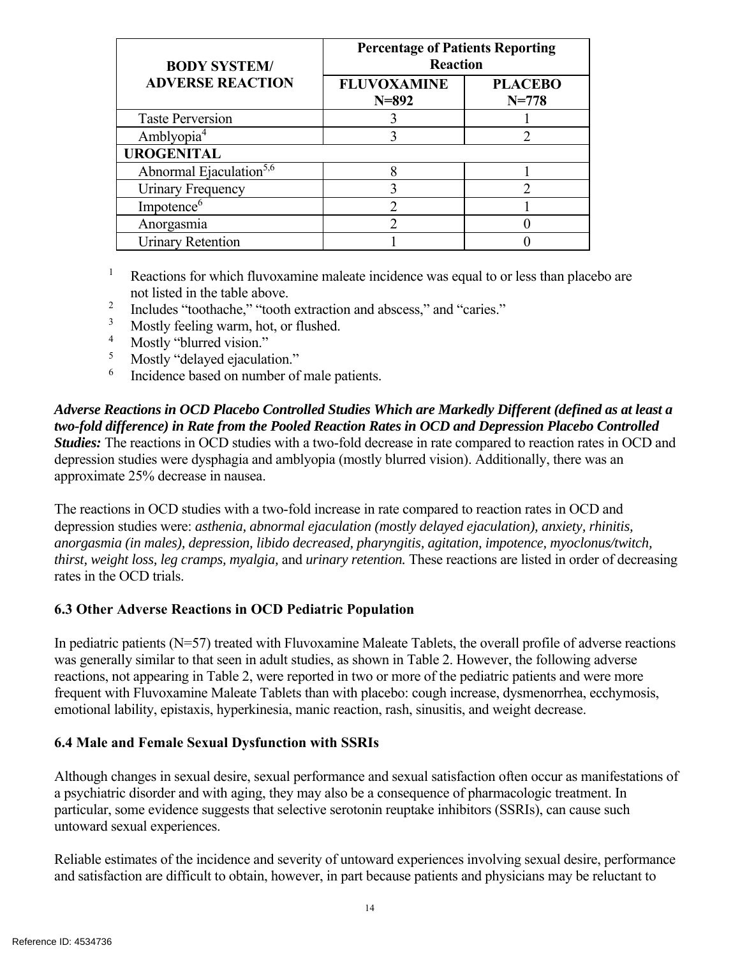| <b>BODY SYSTEM/</b>                 | <b>Percentage of Patients Reporting</b><br><b>Reaction</b> |                             |  |  |
|-------------------------------------|------------------------------------------------------------|-----------------------------|--|--|
| <b>ADVERSE REACTION</b>             | <b>FLUVOXAMINE</b><br>$N = 892$                            | <b>PLACEBO</b><br>$N = 778$ |  |  |
| <b>Taste Perversion</b>             |                                                            |                             |  |  |
| Amblyopia <sup>4</sup>              |                                                            |                             |  |  |
| <b>UROGENITAL</b>                   |                                                            |                             |  |  |
| Abnormal Ejaculation <sup>5,6</sup> |                                                            |                             |  |  |
| <b>Urinary Frequency</b>            |                                                            | ∍                           |  |  |
| Impotence <sup>6</sup>              |                                                            |                             |  |  |
| Anorgasmia                          |                                                            |                             |  |  |
| <b>Urinary Retention</b>            |                                                            |                             |  |  |

- <sup>1</sup> Reactions for which fluvoxamine maleate incidence was equal to or less than placebo are not listed in the table above.
- $\frac{2}{3}$  Includes "toothache," "tooth extraction and abscess," and "caries."
- $\frac{3}{4}$  Mostly feeling warm, hot, or flushed.
- $^{4}$  Mostly "blurred vision."
- $^{5}$  Mostly "delayed ejaculation."
- $6$  Incidence based on number of male patients.

*Adverse Reactions in OCD Placebo Controlled Studies Which are Markedly Different (defined as at least a two-fold difference) in Rate from the Pooled Reaction Rates in OCD and Depression Placebo Controlled Studies:* The reactions in OCD studies with a two-fold decrease in rate compared to reaction rates in OCD and depression studies were dysphagia and amblyopia (mostly blurred vision). Additionally, there was an approximate 25% decrease in nausea.

 The reactions in OCD studies with a two-fold increase in rate compared to reaction rates in OCD and depression studies were: *asthenia, abnormal ejaculation (mostly delayed ejaculation), anxiety, rhinitis, anorgasmia (in males), depression, libido decreased, pharyngitis, agitation, impotence, myoclonus/twitch, thirst, weight loss, leg cramps, myalgia,* and *urinary retention.* These reactions are listed in order of decreasing rates in the OCD trials.

## **6.3 Other Adverse Reactions in OCD Pediatric Population**

In pediatric patients  $(N=57)$  treated with Fluvoxamine Maleate Tablets, the overall profile of adverse reactions was generally similar to that seen in adult studies, as shown in Table 2. However, the following adverse reactions, not appearing in Table 2, were reported in two or more of the pediatric patients and were more frequent with Fluvoxamine Maleate Tablets than with placebo: cough increase, dysmenorrhea, ecchymosis, emotional lability, epistaxis, hyperkinesia, manic reaction, rash, sinusitis, and weight decrease.

## **6.4 Male and Female Sexual Dysfunction with SSRIs**

 Although changes in sexual desire, sexual performance and sexual satisfaction often occur as manifestations of a psychiatric disorder and with aging, they may also be a consequence of pharmacologic treatment. In particular, some evidence suggests that selective serotonin reuptake inhibitors (SSRIs), can cause such untoward sexual experiences.

Reliable estimates of the incidence and severity of untoward experiences involving sexual desire, performance and satisfaction are difficult to obtain, however, in part because patients and physicians may be reluctant to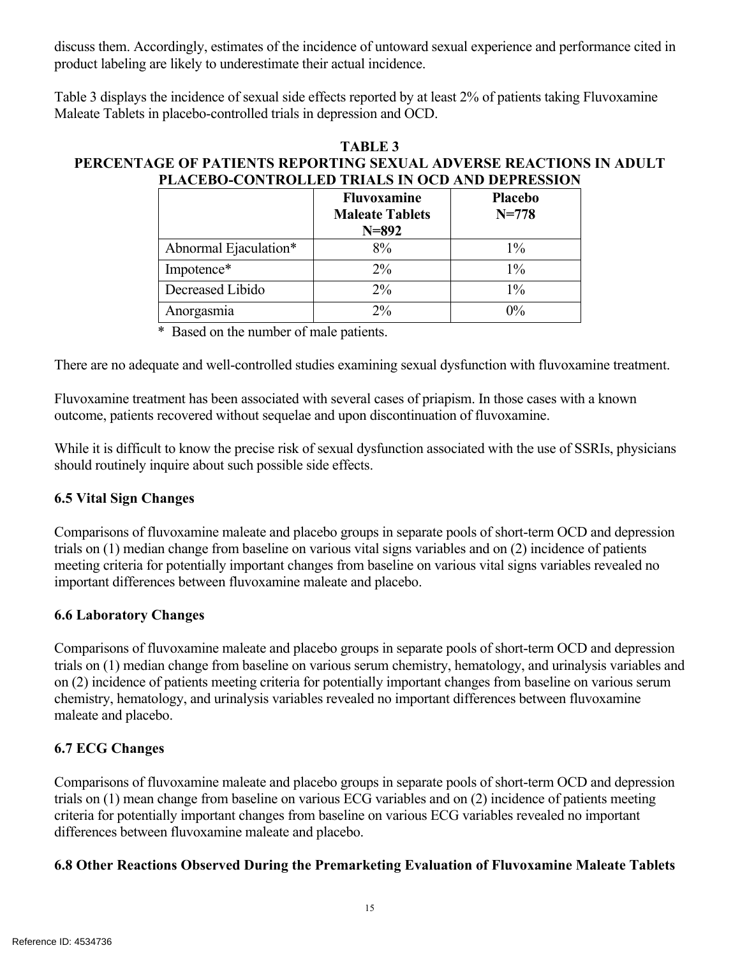discuss them. Accordingly, estimates of the incidence of untoward sexual experience and performance cited in product labeling are likely to underestimate their actual incidence.

Table 3 displays the incidence of sexual side effects reported by at least 2% of patients taking Fluvoxamine Maleate Tablets in placebo-controlled trials in depression and OCD.

#### **TABLE 3 PERCENTAGE OF PATIENTS REPORTING SEXUAL ADVERSE REACTIONS IN ADULT PLACEBO-CONTROLLED TRIALS IN OCD AND DEPRESSION**

|                       | <b>Fluvoxamine</b><br><b>Maleate Tablets</b><br>$N = 892$ | <b>Placebo</b><br>$N = 778$ |
|-----------------------|-----------------------------------------------------------|-----------------------------|
| Abnormal Ejaculation* | 8%                                                        | $1\%$                       |
| Impotence*            | $2\%$                                                     | $1\%$                       |
| Decreased Libido      | $2\%$                                                     | $1\%$                       |
| Anorgasmia            | $2\%$                                                     | $0\%$                       |

\* Based on the number of male patients.

There are no adequate and well-controlled studies examining sexual dysfunction with fluvoxamine treatment.

Fluvoxamine treatment has been associated with several cases of priapism. In those cases with a known outcome, patients recovered without sequelae and upon discontinuation of fluvoxamine.

 should routinely inquire about such possible side effects. While it is difficult to know the precise risk of sexual dysfunction associated with the use of SSRIs, physicians

# **6.5 Vital Sign Changes**

Comparisons of fluvoxamine maleate and placebo groups in separate pools of short-term OCD and depression trials on (1) median change from baseline on various vital signs variables and on (2) incidence of patients meeting criteria for potentially important changes from baseline on various vital signs variables revealed no important differences between fluvoxamine maleate and placebo.

# **6.6 Laboratory Changes**

 on (2) incidence of patients meeting criteria for potentially important changes from baseline on various serum Comparisons of fluvoxamine maleate and placebo groups in separate pools of short-term OCD and depression trials on (1) median change from baseline on various serum chemistry, hematology, and urinalysis variables and chemistry, hematology, and urinalysis variables revealed no important differences between fluvoxamine maleate and placebo.

# **6.7 ECG Changes**

Comparisons of fluvoxamine maleate and placebo groups in separate pools of short-term OCD and depression trials on (1) mean change from baseline on various ECG variables and on (2) incidence of patients meeting criteria for potentially important changes from baseline on various ECG variables revealed no important differences between fluvoxamine maleate and placebo.

## **6.8 Other Reactions Observed During the Premarketing Evaluation of Fluvoxamine Maleate Tablets**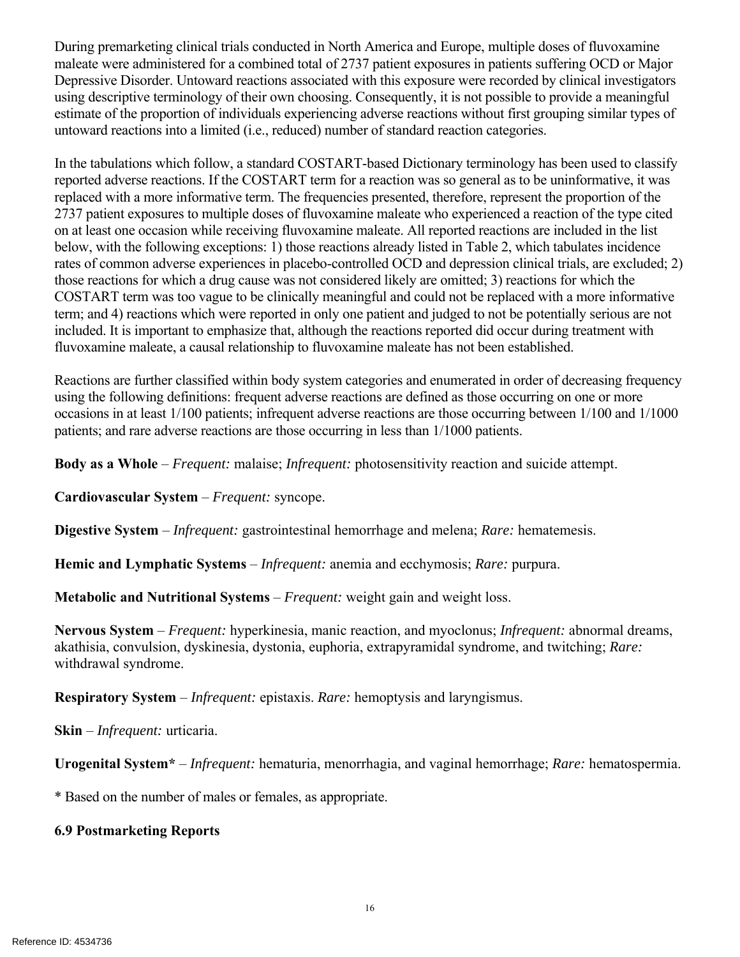During premarketing clinical trials conducted in North America and Europe, multiple doses of fluvoxamine maleate were administered for a combined total of 2737 patient exposures in patients suffering OCD or Major Depressive Disorder. Untoward reactions associated with this exposure were recorded by clinical investigators using descriptive terminology of their own choosing. Consequently, it is not possible to provide a meaningful estimate of the proportion of individuals experiencing adverse reactions without first grouping similar types of untoward reactions into a limited (i.e., reduced) number of standard reaction categories.

 reported adverse reactions. If the COSTART term for a reaction was so general as to be uninformative, it was included. It is important to emphasize that, although the reactions reported did occur during treatment with In the tabulations which follow, a standard COSTART-based Dictionary terminology has been used to classify replaced with a more informative term. The frequencies presented, therefore, represent the proportion of the 2737 patient exposures to multiple doses of fluvoxamine maleate who experienced a reaction of the type cited on at least one occasion while receiving fluvoxamine maleate. All reported reactions are included in the list below, with the following exceptions: 1) those reactions already listed in Table 2, which tabulates incidence rates of common adverse experiences in placebo-controlled OCD and depression clinical trials, are excluded; 2) those reactions for which a drug cause was not considered likely are omitted; 3) reactions for which the COSTART term was too vague to be clinically meaningful and could not be replaced with a more informative term; and 4) reactions which were reported in only one patient and judged to not be potentially serious are not fluvoxamine maleate, a causal relationship to fluvoxamine maleate has not been established.

Reactions are further classified within body system categories and enumerated in order of decreasing frequency using the following definitions: frequent adverse reactions are defined as those occurring on one or more occasions in at least 1/100 patients; infrequent adverse reactions are those occurring between 1/100 and 1/1000 patients; and rare adverse reactions are those occurring in less than 1/1000 patients.

**Body as a Whole** – *Frequent:* malaise; *Infrequent:* photosensitivity reaction and suicide attempt.

**Cardiovascular System** – *Frequent:* syncope.

**Digestive System** – *Infrequent:* gastrointestinal hemorrhage and melena; *Rare:* hematemesis.

**Hemic and Lymphatic Systems** – *Infrequent:* anemia and ecchymosis; *Rare:* purpura.

**Metabolic and Nutritional Systems** – *Frequent:* weight gain and weight loss.

**Nervous System** – *Frequent:* hyperkinesia, manic reaction, and myoclonus; *Infrequent:* abnormal dreams, akathisia, convulsion, dyskinesia, dystonia, euphoria, extrapyramidal syndrome, and twitching; *Rare:*  withdrawal syndrome.

**Respiratory System** – *Infrequent:* epistaxis. *Rare:* hemoptysis and laryngismus.

**Skin** – *Infrequent:* urticaria.

**Urogenital System\*** – *Infrequent:* hematuria, menorrhagia, and vaginal hemorrhage; *Rare:* hematospermia.

\* Based on the number of males or females, as appropriate.

## **6.9 Postmarketing Reports**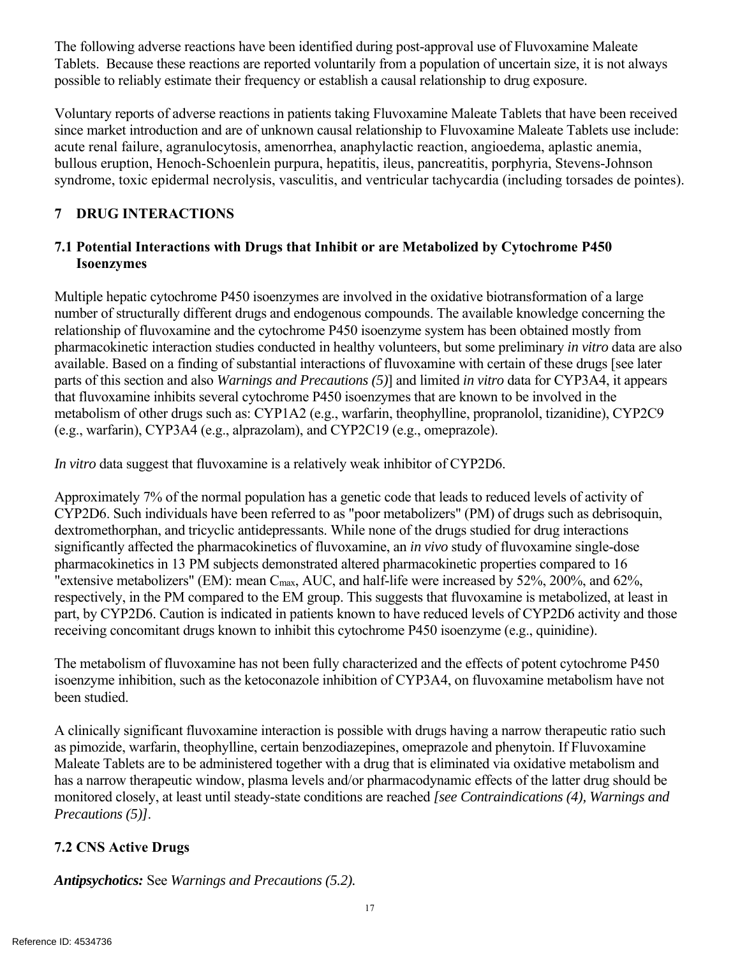The following adverse reactions have been identified during post-approval use of Fluvoxamine Maleate Tablets. Because these reactions are reported voluntarily from a population of uncertain size, it is not always possible to reliably estimate their frequency or establish a causal relationship to drug exposure.

Voluntary reports of adverse reactions in patients taking Fluvoxamine Maleate Tablets that have been received since market introduction and are of unknown causal relationship to Fluvoxamine Maleate Tablets use include: acute renal failure, agranulocytosis, amenorrhea, anaphylactic reaction, angioedema, aplastic anemia, bullous eruption, Henoch-Schoenlein purpura, hepatitis, ileus, pancreatitis, porphyria, Stevens-Johnson syndrome, toxic epidermal necrolysis, vasculitis, and ventricular tachycardia (including torsades de pointes).

# **7 DRUG INTERACTIONS**

## **7.1 Potential Interactions with Drugs that Inhibit or are Metabolized by Cytochrome P450 Isoenzymes**

 Multiple hepatic cytochrome P450 isoenzymes are involved in the oxidative biotransformation of a large available. Based on a finding of substantial interactions of fluvoxamine with certain of these drugs [see later number of structurally different drugs and endogenous compounds. The available knowledge concerning the relationship of fluvoxamine and the cytochrome P450 isoenzyme system has been obtained mostly from pharmacokinetic interaction studies conducted in healthy volunteers, but some preliminary *in vitro* data are also parts of this section and also *Warnings and Precautions (5)*] and limited *in vitro* data for CYP3A4, it appears that fluvoxamine inhibits several cytochrome P450 isoenzymes that are known to be involved in the metabolism of other drugs such as: CYP1A2 (e.g., warfarin, theophylline, propranolol, tizanidine), CYP2C9 (e.g., warfarin), CYP3A4 (e.g., alprazolam), and CYP2C19 (e.g., omeprazole).

*In vitro* data suggest that fluvoxamine is a relatively weak inhibitor of CYP2D6.

Approximately 7% of the normal population has a genetic code that leads to reduced levels of activity of CYP2D6. Such individuals have been referred to as "poor metabolizers" (PM) of drugs such as debrisoquin, dextromethorphan, and tricyclic antidepressants. While none of the drugs studied for drug interactions significantly affected the pharmacokinetics of fluvoxamine, an *in vivo* study of fluvoxamine single-dose pharmacokinetics in 13 PM subjects demonstrated altered pharmacokinetic properties compared to 16 "extensive metabolizers" (EM): mean C<sub>max</sub>, AUC, and half-life were increased by 52%, 200%, and 62%, respectively, in the PM compared to the EM group. This suggests that fluvoxamine is metabolized, at least in part, by CYP2D6. Caution is indicated in patients known to have reduced levels of CYP2D6 activity and those receiving concomitant drugs known to inhibit this cytochrome P450 isoenzyme (e.g., quinidine).

The metabolism of fluvoxamine has not been fully characterized and the effects of potent cytochrome P450 isoenzyme inhibition, such as the ketoconazole inhibition of CYP3A4, on fluvoxamine metabolism have not been studied.

A clinically significant fluvoxamine interaction is possible with drugs having a narrow therapeutic ratio such as pimozide, warfarin, theophylline, certain benzodiazepines, omeprazole and phenytoin. If Fluvoxamine Maleate Tablets are to be administered together with a drug that is eliminated via oxidative metabolism and has a narrow therapeutic window, plasma levels and/or pharmacodynamic effects of the latter drug should be monitored closely, at least until steady-state conditions are reached *[see Contraindications (4), Warnings and Precautions (5)]*.

# **7.2 CNS Active Drugs**

# *Antipsychotics:* See *Warnings and Precautions (5.2).*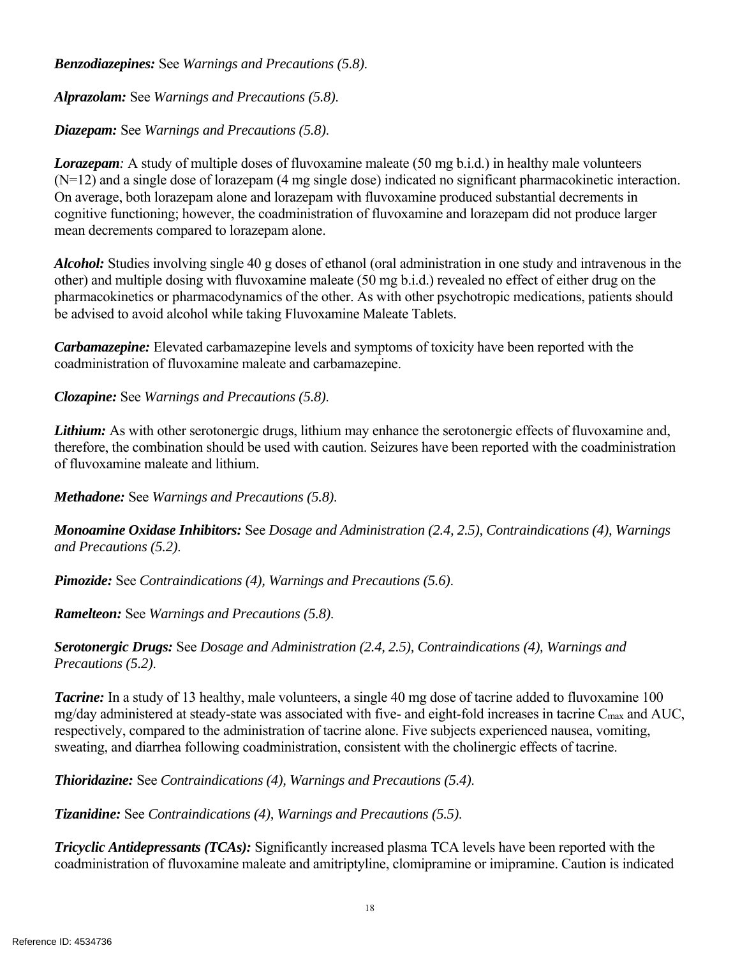*Benzodiazepines:* See *Warnings and Precautions (5.8)*.

*Alprazolam:* See *Warnings and Precautions (5.8)*.

*Diazepam:* See *Warnings and Precautions (5.8)*.

*Lorazepam:* A study of multiple doses of fluvoxamine maleate (50 mg b.i.d.) in healthy male volunteers (N=12) and a single dose of lorazepam (4 mg single dose) indicated no significant pharmacokinetic interaction. On average, both lorazepam alone and lorazepam with fluvoxamine produced substantial decrements in cognitive functioning; however, the coadministration of fluvoxamine and lorazepam did not produce larger mean decrements compared to lorazepam alone.

*Alcohol:* Studies involving single 40 g doses of ethanol (oral administration in one study and intravenous in the other) and multiple dosing with fluvoxamine maleate (50 mg b.i.d.) revealed no effect of either drug on the pharmacokinetics or pharmacodynamics of the other. As with other psychotropic medications, patients should be advised to avoid alcohol while taking Fluvoxamine Maleate Tablets.

*Carbamazepine:* Elevated carbamazepine levels and symptoms of toxicity have been reported with the coadministration of fluvoxamine maleate and carbamazepine.

*Clozapine:* See *Warnings and Precautions (5.8)*.

 *Lithium:* As with other serotonergic drugs, lithium may enhance the serotonergic effects of fluvoxamine and, therefore, the combination should be used with caution. Seizures have been reported with the coadministration of fluvoxamine maleate and lithium.

*Methadone:* See *Warnings and Precautions (5.8)*.

*Monoamine Oxidase Inhibitors:* See *Dosage and Administration (2.4, 2.5), Contraindications (4), Warnings and Precautions (5.2)*.

*Pimozide:* See *Contraindications (4), Warnings and Precautions (5.6)*.

*Ramelteon:* See *Warnings and Precautions (5.8)*.

*Serotonergic Drugs:* See *Dosage and Administration (2.4, 2.5), Contraindications (4), Warnings and Precautions (5.2)*.

**Tacrine:** In a study of 13 healthy, male volunteers, a single 40 mg dose of tacrine added to fluvoxamine 100 mg/day administered at steady-state was associated with five- and eight-fold increases in tacrine Cmax and AUC, respectively, compared to the administration of tacrine alone. Five subjects experienced nausea, vomiting, sweating, and diarrhea following coadministration, consistent with the cholinergic effects of tacrine.

*Thioridazine:* See *Contraindications (4), Warnings and Precautions (5.4)*.

*Tizanidine:* See *Contraindications (4), Warnings and Precautions (5.5)*.

*Tricyclic Antidepressants (TCAs):* Significantly increased plasma TCA levels have been reported with the coadministration of fluvoxamine maleate and amitriptyline, clomipramine or imipramine. Caution is indicated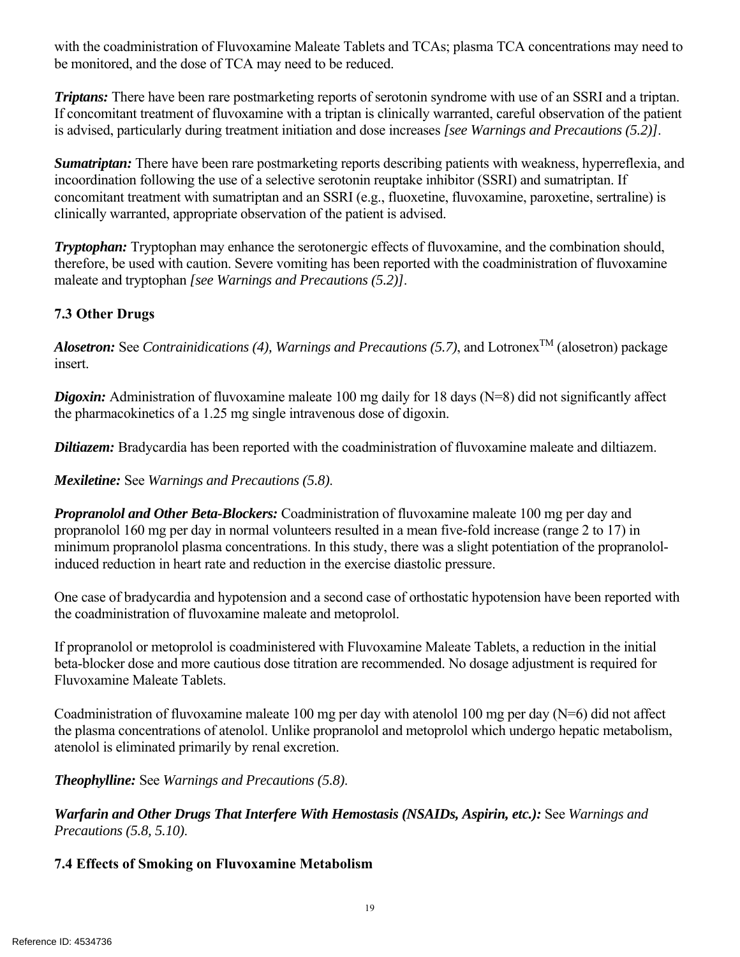with the coadministration of Fluvoxamine Maleate Tablets and TCAs; plasma TCA concentrations may need to be monitored, and the dose of TCA may need to be reduced.

*Triptans:* There have been rare postmarketing reports of serotonin syndrome with use of an SSRI and a triptan. If concomitant treatment of fluvoxamine with a triptan is clinically warranted, careful observation of the patient is advised, particularly during treatment initiation and dose increases *[see Warnings and Precautions (5.2)]*.

 incoordination following the use of a selective serotonin reuptake inhibitor (SSRI) and sumatriptan. If *Sumatriptan:* There have been rare postmarketing reports describing patients with weakness, hyperreflexia, and concomitant treatment with sumatriptan and an SSRI (e.g., fluoxetine, fluvoxamine, paroxetine, sertraline) is clinically warranted, appropriate observation of the patient is advised.

 *Tryptophan:* Tryptophan may enhance the serotonergic effects of fluvoxamine, and the combination should, therefore, be used with caution. Severe vomiting has been reported with the coadministration of fluvoxamine maleate and tryptophan *[see Warnings and Precautions (5.2)]*.

# **7.3 Other Drugs**

*Alosetron:* See *Contrainidications (4), Warnings and Precautions (5.7)*, and LotronexTM (alosetron) package insert.

*Digoxin:* Administration of fluvoxamine maleate 100 mg daily for 18 days (N=8) did not significantly affect the pharmacokinetics of a 1.25 mg single intravenous dose of digoxin.

*Diltiazem:* Bradycardia has been reported with the coadministration of fluvoxamine maleate and diltiazem.

*Mexiletine:* See *Warnings and Precautions (5.8)*.

*Propranolol and Other Beta-Blockers:* Coadministration of fluvoxamine maleate 100 mg per day and propranolol 160 mg per day in normal volunteers resulted in a mean five-fold increase (range 2 to 17) in minimum propranolol plasma concentrations. In this study, there was a slight potentiation of the propranololinduced reduction in heart rate and reduction in the exercise diastolic pressure.

One case of bradycardia and hypotension and a second case of orthostatic hypotension have been reported with the coadministration of fluvoxamine maleate and metoprolol.

If propranolol or metoprolol is coadministered with Fluvoxamine Maleate Tablets, a reduction in the initial beta-blocker dose and more cautious dose titration are recommended. No dosage adjustment is required for Fluvoxamine Maleate Tablets.

Coadministration of fluvoxamine maleate 100 mg per day with atenolol 100 mg per day  $(N=6)$  did not affect the plasma concentrations of atenolol. Unlike propranolol and metoprolol which undergo hepatic metabolism, atenolol is eliminated primarily by renal excretion.

*Theophylline:* See *Warnings and Precautions (5.8)*.

*Warfarin and Other Drugs That Interfere With Hemostasis (NSAIDs, Aspirin, etc.):* See *Warnings and Precautions (5.8, 5.10)*.

# **7.4 Effects of Smoking on Fluvoxamine Metabolism**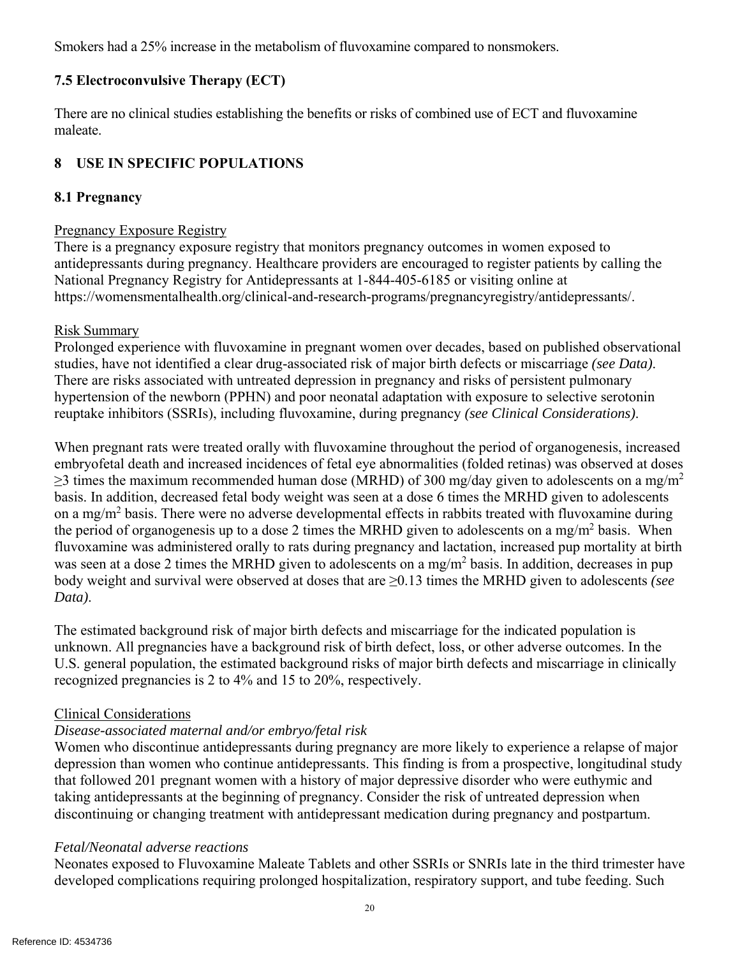Smokers had a 25% increase in the metabolism of fluvoxamine compared to nonsmokers.

# **7.5 Electroconvulsive Therapy (ECT)**

There are no clinical studies establishing the benefits or risks of combined use of ECT and fluvoxamine maleate.

# **8 USE IN SPECIFIC POPULATIONS**

## **8.1 Pregnancy**

## Pregnancy Exposure Registry

There is a pregnancy exposure registry that monitors pregnancy outcomes in women exposed to antidepressants during pregnancy. Healthcare providers are encouraged to register patients by calling the National Pregnancy Registry for Antidepressants at 1-844-405-6185 or visiting online at https://womensmentalhealth.org/clinical-and-research-programs/pregnancyregistry/antidepressants/.

#### Risk Summary

Prolonged experience with fluvoxamine in pregnant women over decades, based on published observational studies, have not identified a clear drug-associated risk of major birth defects or miscarriage *(see Data)*. There are risks associated with untreated depression in pregnancy and risks of persistent pulmonary hypertension of the newborn (PPHN) and poor neonatal adaptation with exposure to selective serotonin reuptake inhibitors (SSRIs), including fluvoxamine, during pregnancy *(see Clinical Considerations)*.

When pregnant rats were treated orally with fluvoxamine throughout the period of organogenesis, increased embryofetal death and increased incidences of fetal eye abnormalities (folded retinas) was observed at doses  $>$ 3 times the maximum recommended human dose (MRHD) of 300 mg/day given to adolescents on a mg/m<sup>2</sup> basis. In addition, decreased fetal body weight was seen at a dose 6 times the MRHD given to adolescents on a mg/m<sup>2</sup> basis. There were no adverse developmental effects in rabbits treated with fluvoxamine during the period of organogenesis up to a dose 2 times the MRHD given to adolescents on a mg/m<sup>2</sup> basis. When fluvoxamine was administered orally to rats during pregnancy and lactation, increased pup mortality at birth was seen at a dose 2 times the MRHD given to adolescents on a mg/m<sup>2</sup> basis. In addition, decreases in pup body weight and survival were observed at doses that are ≥0.13 times the MRHD given to adolescents *(see Data)*.

The estimated background risk of major birth defects and miscarriage for the indicated population is unknown. All pregnancies have a background risk of birth defect, loss, or other adverse outcomes. In the U.S. general population, the estimated background risks of major birth defects and miscarriage in clinically recognized pregnancies is 2 to 4% and 15 to 20%, respectively.

## Clinical Considerations

## *Disease-associated maternal and/or embryo/fetal risk*

Women who discontinue antidepressants during pregnancy are more likely to experience a relapse of major depression than women who continue antidepressants. This finding is from a prospective, longitudinal study that followed 201 pregnant women with a history of major depressive disorder who were euthymic and taking antidepressants at the beginning of pregnancy. Consider the risk of untreated depression when discontinuing or changing treatment with antidepressant medication during pregnancy and postpartum.

## *Fetal/Neonatal adverse reactions*

Neonates exposed to Fluvoxamine Maleate Tablets and other SSRIs or SNRIs late in the third trimester have developed complications requiring prolonged hospitalization, respiratory support, and tube feeding. Such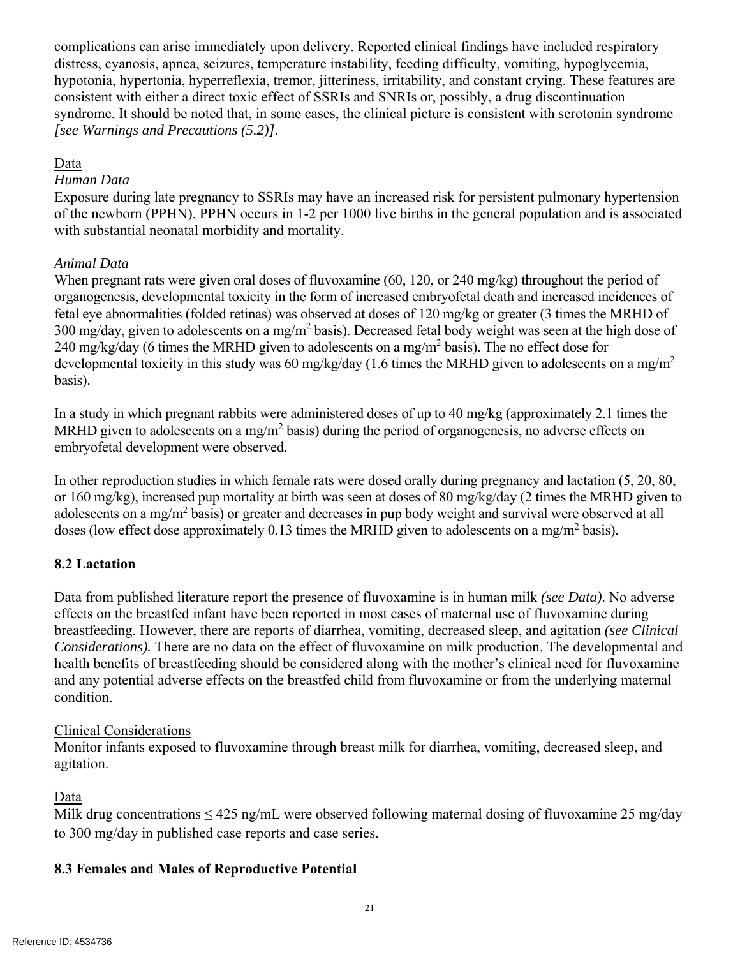syndrome. It should be noted that, in some cases, the clinical picture is consistent with serotonin syndrome complications can arise immediately upon delivery. Reported clinical findings have included respiratory distress, cyanosis, apnea, seizures, temperature instability, feeding difficulty, vomiting, hypoglycemia, hypotonia, hypertonia, hyperreflexia, tremor, jitteriness, irritability, and constant crying. These features are consistent with either a direct toxic effect of SSRIs and SNRIs or, possibly, a drug discontinuation *[see Warnings and Precautions (5.2)]*.

#### Data

#### *Human Data*

Exposure during late pregnancy to SSRIs may have an increased risk for persistent pulmonary hypertension of the newborn (PPHN). PPHN occurs in 1-2 per 1000 live births in the general population and is associated with substantial neonatal morbidity and mortality.

## *Animal Data*

240 mg/kg/day (6 times the MRHD given to adolescents on a mg/m<sup>2</sup> basis). The no effect dose for developmental toxicity in this study was 60 mg/kg/day (1.6 times the MRHD given to adolescents on a mg/m<sup>2</sup> When pregnant rats were given oral doses of fluvoxamine (60, 120, or 240 mg/kg) throughout the period of organogenesis, developmental toxicity in the form of increased embryofetal death and increased incidences of fetal eye abnormalities (folded retinas) was observed at doses of 120 mg/kg or greater (3 times the MRHD of 300 mg/day, given to adolescents on a mg/m<sup>2</sup> basis). Decreased fetal body weight was seen at the high dose of basis).

MRHD given to adolescents on a mg/m<sup>2</sup> basis) during the period of organogenesis, no adverse effects on In a study in which pregnant rabbits were administered doses of up to 40 mg/kg (approximately 2.1 times the embryofetal development were observed.

 In other reproduction studies in which female rats were dosed orally during pregnancy and lactation (5, 20, 80, or 160 mg/kg), increased pup mortality at birth was seen at doses of 80 mg/kg/day (2 times the MRHD given to adolescents on a mg/m<sup>2</sup> basis) or greater and decreases in pup body weight and survival were observed at all doses (low effect dose approximately 0.13 times the MRHD given to adolescents on a mg/m<sup>2</sup> basis).

## **8.2 Lactation**

Data from published literature report the presence of fluvoxamine is in human milk *(see Data)*. No adverse effects on the breastfed infant have been reported in most cases of maternal use of fluvoxamine during breastfeeding. However, there are reports of diarrhea, vomiting, decreased sleep, and agitation *(see Clinical Considerations).* There are no data on the effect of fluvoxamine on milk production. The developmental and health benefits of breastfeeding should be considered along with the mother's clinical need for fluvoxamine and any potential adverse effects on the breastfed child from fluvoxamine or from the underlying maternal condition.

## Clinical Considerations

Monitor infants exposed to fluvoxamine through breast milk for diarrhea, vomiting, decreased sleep, and agitation.

## Data

Milk drug concentrations  $\leq 425$  ng/mL were observed following maternal dosing of fluvoxamine 25 mg/day to 300 mg/day in published case reports and case series.

# **8.3 Females and Males of Reproductive Potential**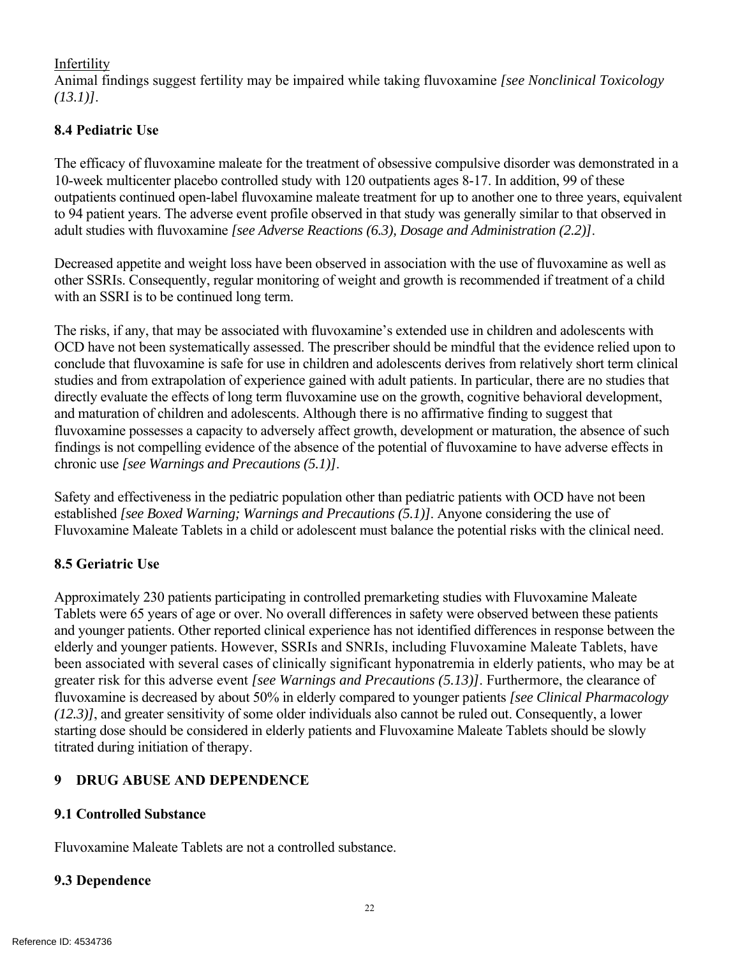# Infertility

Animal findings suggest fertility may be impaired while taking fluvoxamine *[see Nonclinical Toxicology (13.1)]*.

# **8.4 Pediatric Use**

 outpatients continued open-label fluvoxamine maleate treatment for up to another one to three years, equivalent The efficacy of fluvoxamine maleate for the treatment of obsessive compulsive disorder was demonstrated in a 10-week multicenter placebo controlled study with 120 outpatients ages 8-17. In addition, 99 of these to 94 patient years. The adverse event profile observed in that study was generally similar to that observed in adult studies with fluvoxamine *[see Adverse Reactions (6.3), Dosage and Administration (2.2)]*.

Decreased appetite and weight loss have been observed in association with the use of fluvoxamine as well as other SSRIs. Consequently, regular monitoring of weight and growth is recommended if treatment of a child with an SSRI is to be continued long term.

 studies and from extrapolation of experience gained with adult patients. In particular, there are no studies that directly evaluate the effects of long term fluvoxamine use on the growth, cognitive behavioral development, and maturation of children and adolescents. Although there is no affirmative finding to suggest that The risks, if any, that may be associated with fluvoxamine's extended use in children and adolescents with OCD have not been systematically assessed. The prescriber should be mindful that the evidence relied upon to conclude that fluvoxamine is safe for use in children and adolescents derives from relatively short term clinical fluvoxamine possesses a capacity to adversely affect growth, development or maturation, the absence of such findings is not compelling evidence of the absence of the potential of fluvoxamine to have adverse effects in chronic use *[see Warnings and Precautions (5.1)]*.

 Fluvoxamine Maleate Tablets in a child or adolescent must balance the potential risks with the clinical need. Safety and effectiveness in the pediatric population other than pediatric patients with OCD have not been established *[see Boxed Warning; Warnings and Precautions (5.1)]*. Anyone considering the use of

# **8.5 Geriatric Use**

 elderly and younger patients. However, SSRIs and SNRIs, including Fluvoxamine Maleate Tablets, have greater risk for this adverse event *[see Warnings and Precautions (5.13)]*. Furthermore, the clearance of Approximately 230 patients participating in controlled premarketing studies with Fluvoxamine Maleate Tablets were 65 years of age or over. No overall differences in safety were observed between these patients and younger patients. Other reported clinical experience has not identified differences in response between the been associated with several cases of clinically significant hyponatremia in elderly patients, who may be at fluvoxamine is decreased by about 50% in elderly compared to younger patients *[see Clinical Pharmacology (12.3)]*, and greater sensitivity of some older individuals also cannot be ruled out. Consequently, a lower starting dose should be considered in elderly patients and Fluvoxamine Maleate Tablets should be slowly titrated during initiation of therapy.

# **9 DRUG ABUSE AND DEPENDENCE**

# **9.1 Controlled Substance**

Fluvoxamine Maleate Tablets are not a controlled substance.

# **9.3 Dependence**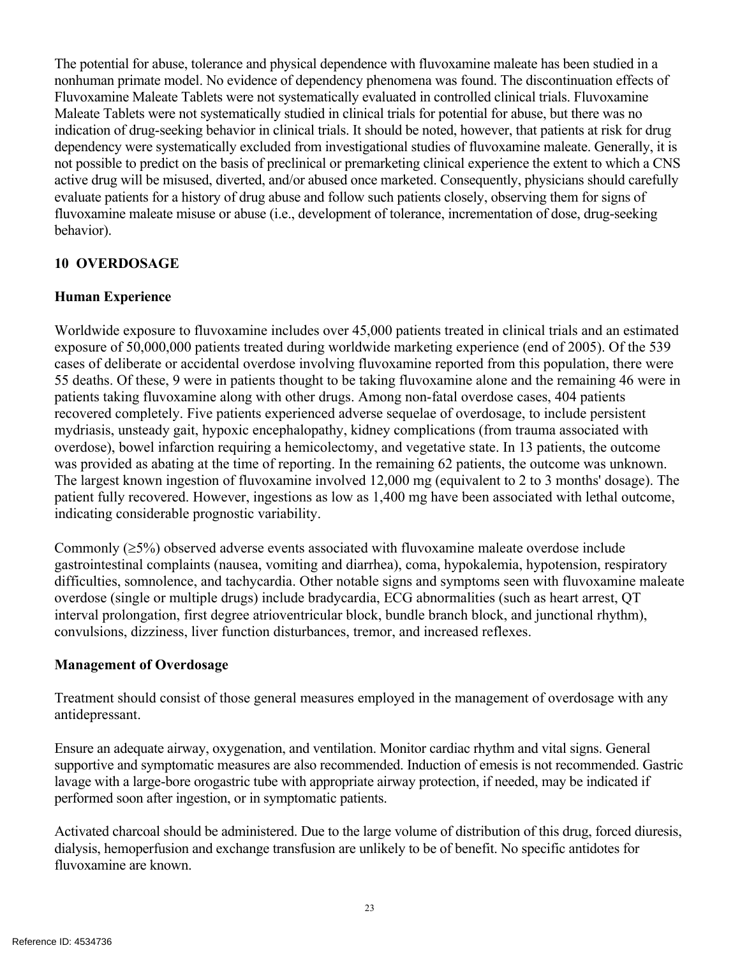The potential for abuse, tolerance and physical dependence with fluvoxamine maleate has been studied in a Fluvoxamine Maleate Tablets were not systematically evaluated in controlled clinical trials. Fluvoxamine Maleate Tablets were not systematically studied in clinical trials for potential for abuse, but there was no not possible to predict on the basis of preclinical or premarketing clinical experience the extent to which a CNS nonhuman primate model. No evidence of dependency phenomena was found. The discontinuation effects of indication of drug-seeking behavior in clinical trials. It should be noted, however, that patients at risk for drug dependency were systematically excluded from investigational studies of fluvoxamine maleate. Generally, it is active drug will be misused, diverted, and/or abused once marketed. Consequently, physicians should carefully evaluate patients for a history of drug abuse and follow such patients closely, observing them for signs of fluvoxamine maleate misuse or abuse (i.e., development of tolerance, incrementation of dose, drug-seeking behavior).

## **10 OVERDOSAGE**

#### **Human Experience**

Worldwide exposure to fluvoxamine includes over 45,000 patients treated in clinical trials and an estimated exposure of 50,000,000 patients treated during worldwide marketing experience (end of 2005). Of the 539 cases of deliberate or accidental overdose involving fluvoxamine reported from this population, there were 55 deaths. Of these, 9 were in patients thought to be taking fluvoxamine alone and the remaining 46 were in patients taking fluvoxamine along with other drugs. Among non-fatal overdose cases, 404 patients recovered completely. Five patients experienced adverse sequelae of overdosage, to include persistent mydriasis, unsteady gait, hypoxic encephalopathy, kidney complications (from trauma associated with overdose), bowel infarction requiring a hemicolectomy, and vegetative state. In 13 patients, the outcome was provided as abating at the time of reporting. In the remaining 62 patients, the outcome was unknown. The largest known ingestion of fluvoxamine involved 12,000 mg (equivalent to 2 to 3 months' dosage). The patient fully recovered. However, ingestions as low as 1,400 mg have been associated with lethal outcome, indicating considerable prognostic variability.

Commonly  $(\geq 5\%)$  observed adverse events associated with fluvoxamine maleate overdose include gastrointestinal complaints (nausea, vomiting and diarrhea), coma, hypokalemia, hypotension, respiratory difficulties, somnolence, and tachycardia. Other notable signs and symptoms seen with fluvoxamine maleate overdose (single or multiple drugs) include bradycardia, ECG abnormalities (such as heart arrest, QT interval prolongation, first degree atrioventricular block, bundle branch block, and junctional rhythm), convulsions, dizziness, liver function disturbances, tremor, and increased reflexes.

#### **Management of Overdosage**

Treatment should consist of those general measures employed in the management of overdosage with any antidepressant.

Ensure an adequate airway, oxygenation, and ventilation. Monitor cardiac rhythm and vital signs. General supportive and symptomatic measures are also recommended. Induction of emesis is not recommended. Gastric lavage with a large-bore orogastric tube with appropriate airway protection, if needed, may be indicated if performed soon after ingestion, or in symptomatic patients.

Activated charcoal should be administered. Due to the large volume of distribution of this drug, forced diuresis, dialysis, hemoperfusion and exchange transfusion are unlikely to be of benefit. No specific antidotes for fluvoxamine are known.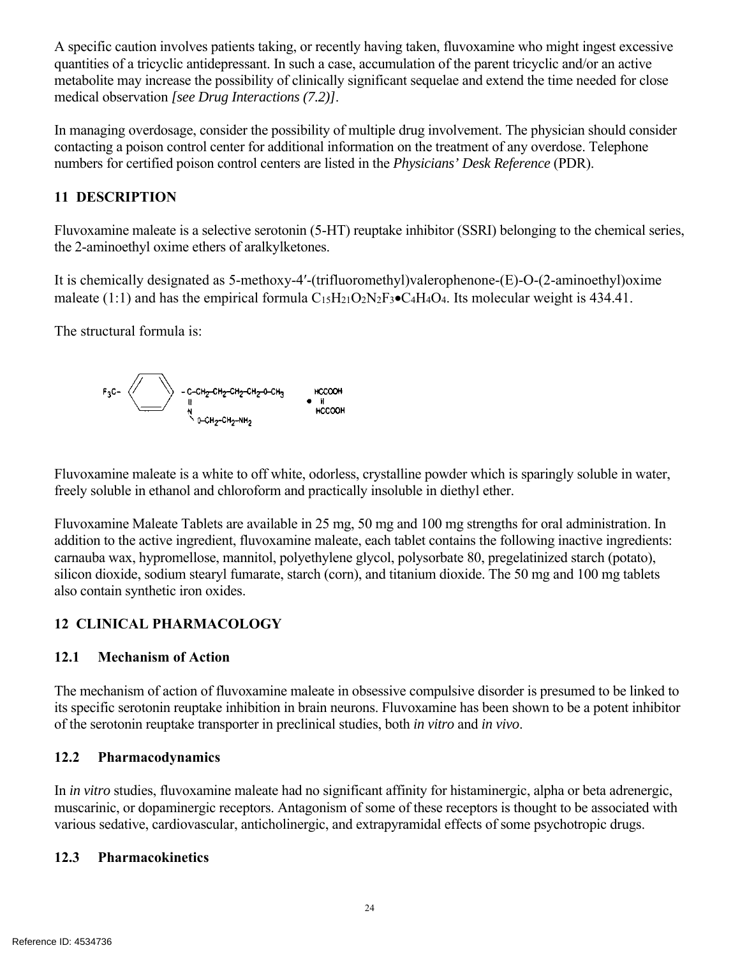A specific caution involves patients taking, or recently having taken, fluvoxamine who might ingest excessive quantities of a tricyclic antidepressant. In such a case, accumulation of the parent tricyclic and/or an active metabolite may increase the possibility of clinically significant sequelae and extend the time needed for close medical observation *[see Drug Interactions (7.2)]*.

 numbers for certified poison control centers are listed in the *Physicians' Desk Reference* (PDR). In managing overdosage, consider the possibility of multiple drug involvement. The physician should consider contacting a poison control center for additional information on the treatment of any overdose. Telephone

# **11 DESCRIPTION**

Fluvoxamine maleate is a selective serotonin (5-HT) reuptake inhibitor (SSRI) belonging to the chemical series, the 2-aminoethyl oxime ethers of aralkylketones.

It is chemically designated as 5-methoxy-4′-(trifluoromethyl)valerophenone-(E)-O-(2-aminoethyl)oxime maleate (1:1) and has the empirical formula  $C_{15}H_{21}O_2N_2F_3\bullet C_4H_4O_4$ . Its molecular weight is 434.41.

The structural formula is:



Fluvoxamine maleate is a white to off white, odorless, crystalline powder which is sparingly soluble in water, freely soluble in ethanol and chloroform and practically insoluble in diethyl ether.

 Fluvoxamine Maleate Tablets are available in 25 mg, 50 mg and 100 mg strengths for oral administration. In addition to the active ingredient, fluvoxamine maleate, each tablet contains the following inactive ingredients: carnauba wax, hypromellose, mannitol, polyethylene glycol, polysorbate 80, pregelatinized starch (potato), silicon dioxide, sodium stearyl fumarate, starch (corn), and titanium dioxide. The 50 mg and 100 mg tablets also contain synthetic iron oxides.

# **12 CLINICAL PHARMACOLOGY**

## **12.1 Mechanism of Action**

The mechanism of action of fluvoxamine maleate in obsessive compulsive disorder is presumed to be linked to its specific serotonin reuptake inhibition in brain neurons. Fluvoxamine has been shown to be a potent inhibitor of the serotonin reuptake transporter in preclinical studies, both *in vitro* and *in vivo*.

## **12.2 Pharmacodynamics**

In *in vitro* studies, fluvoxamine maleate had no significant affinity for histaminergic, alpha or beta adrenergic, muscarinic, or dopaminergic receptors. Antagonism of some of these receptors is thought to be associated with various sedative, cardiovascular, anticholinergic, and extrapyramidal effects of some psychotropic drugs.

## **12.3 Pharmacokinetics**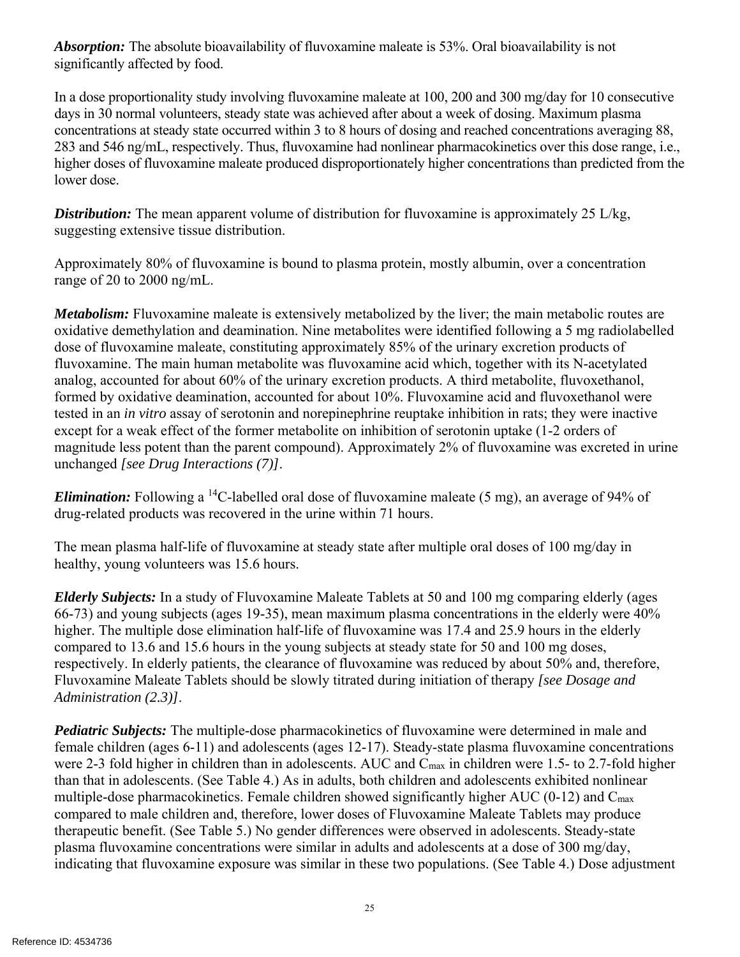*Absorption:* The absolute bioavailability of fluvoxamine maleate is 53%. Oral bioavailability is not significantly affected by food.

In a dose proportionality study involving fluvoxamine maleate at 100, 200 and 300 mg/day for 10 consecutive days in 30 normal volunteers, steady state was achieved after about a week of dosing. Maximum plasma concentrations at steady state occurred within 3 to 8 hours of dosing and reached concentrations averaging 88, 283 and 546 ng/mL, respectively. Thus, fluvoxamine had nonlinear pharmacokinetics over this dose range, i.e., higher doses of fluvoxamine maleate produced disproportionately higher concentrations than predicted from the lower dose.

*Distribution:* The mean apparent volume of distribution for fluvoxamine is approximately 25 L/kg, suggesting extensive tissue distribution.

Approximately 80% of fluvoxamine is bound to plasma protein, mostly albumin, over a concentration range of 20 to 2000 ng/mL.

*Metabolism:* Fluvoxamine maleate is extensively metabolized by the liver; the main metabolic routes are oxidative demethylation and deamination. Nine metabolites were identified following a 5 mg radiolabelled dose of fluvoxamine maleate, constituting approximately 85% of the urinary excretion products of fluvoxamine. The main human metabolite was fluvoxamine acid which, together with its N-acetylated analog, accounted for about 60% of the urinary excretion products. A third metabolite, fluvoxethanol, formed by oxidative deamination, accounted for about 10%. Fluvoxamine acid and fluvoxethanol were tested in an *in vitro* assay of serotonin and norepinephrine reuptake inhibition in rats; they were inactive except for a weak effect of the former metabolite on inhibition of serotonin uptake (1-2 orders of magnitude less potent than the parent compound). Approximately 2% of fluvoxamine was excreted in urine unchanged *[see Drug Interactions (7)]*.

*Elimination:* Following a <sup>14</sup>C-labelled oral dose of fluvoxamine maleate (5 mg), an average of 94% of drug-related products was recovered in the urine within 71 hours.

The mean plasma half-life of fluvoxamine at steady state after multiple oral doses of 100 mg/day in healthy, young volunteers was 15.6 hours.

*Elderly Subjects:* In a study of Fluvoxamine Maleate Tablets at 50 and 100 mg comparing elderly (ages 66-73) and young subjects (ages 19-35), mean maximum plasma concentrations in the elderly were 40% higher. The multiple dose elimination half-life of fluvoxamine was 17.4 and 25.9 hours in the elderly compared to 13.6 and 15.6 hours in the young subjects at steady state for 50 and 100 mg doses, respectively. In elderly patients, the clearance of fluvoxamine was reduced by about 50% and, therefore, Fluvoxamine Maleate Tablets should be slowly titrated during initiation of therapy *[see Dosage and Administration (2.3)]*.

*Pediatric Subjects:* The multiple-dose pharmacokinetics of fluvoxamine were determined in male and female children (ages 6-11) and adolescents (ages 12-17). Steady-state plasma fluvoxamine concentrations were 2-3 fold higher in children than in adolescents. AUC and C<sub>max</sub> in children were 1.5- to 2.7-fold higher than that in adolescents. (See Table 4.) As in adults, both children and adolescents exhibited nonlinear multiple-dose pharmacokinetics. Female children showed significantly higher AUC (0-12) and  $C_{\text{max}}$ compared to male children and, therefore, lower doses of Fluvoxamine Maleate Tablets may produce therapeutic benefit. (See Table 5.) No gender differences were observed in adolescents. Steady-state plasma fluvoxamine concentrations were similar in adults and adolescents at a dose of 300 mg/day, indicating that fluvoxamine exposure was similar in these two populations. (See Table 4.) Dose adjustment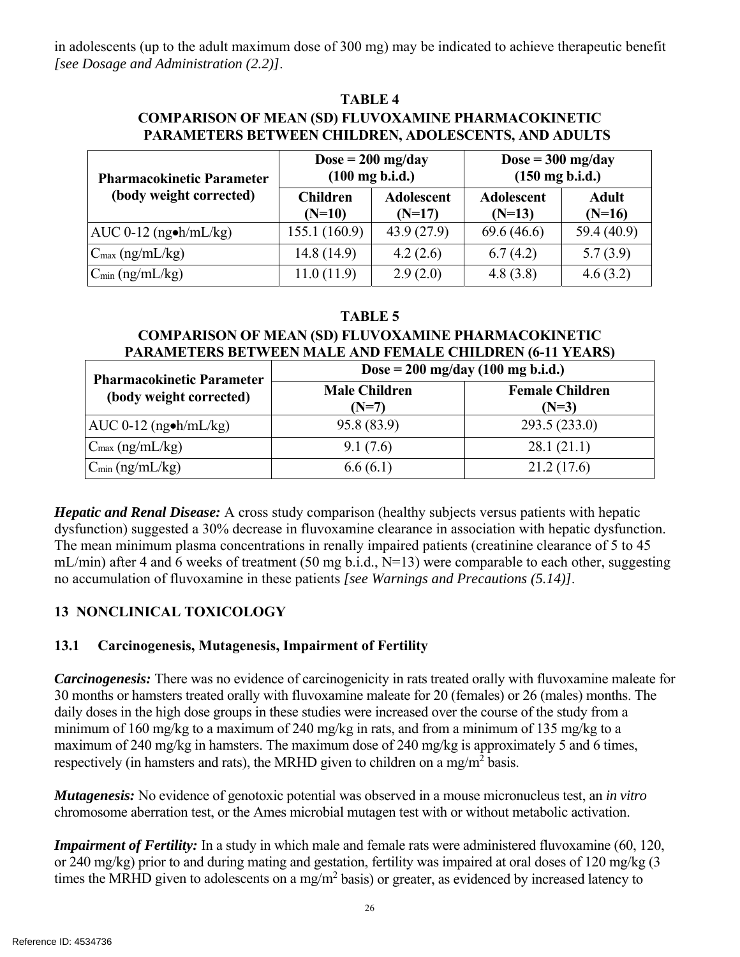in adolescents (up to the adult maximum dose of 300 mg) may be indicated to achieve therapeutic benefit *[see Dosage and Administration (2.2)]*.

#### **COMPARISON OF MEAN (SD) FLUVOXAMINE PHARMACOKINETIC TABLE 4 PARAMETERS BETWEEN CHILDREN, ADOLESCENTS, AND ADULTS**

| <b>Pharmacokinetic Parameter</b>   | $Dose = 200$ mg/day<br>$(100 \text{ mg b.i.d.})$ |                               | Dose = $300$ mg/day<br>$(150 \text{ mg b.i.d.})$ |                          |
|------------------------------------|--------------------------------------------------|-------------------------------|--------------------------------------------------|--------------------------|
| (body weight corrected)            | <b>Children</b><br>$(N=10)$                      | <b>Adolescent</b><br>$(N=17)$ | <b>Adolescent</b><br>$(N=13)$                    | <b>Adult</b><br>$(N=16)$ |
| $AUC 0-12$ (ng $\bullet h/mL/kg$ ) | 155.1 (160.9)                                    | 43.9(27.9)                    | 69.6(46.6)                                       | 59.4 (40.9)              |
| $C_{\text{max}}$ (ng/mL/kg)        | 14.8(14.9)                                       | 4.2(2.6)                      | 6.7(4.2)                                         | 5.7(3.9)                 |
| $C_{\min}$ (ng/mL/kg)              | 11.0(11.9)                                       | 2.9(2.0)                      | 4.8(3.8)                                         | 4.6(3.2)                 |

#### **TABLE 5**

# **COMPARISON OF MEAN (SD) FLUVOXAMINE PHARMACOKINETIC PARAMETERS BETWEEN MALE AND FEMALE CHILDREN (6-11 YEARS)**

| <b>Pharmacokinetic Parameter</b> | Dose = $200 \text{ mg/day} (100 \text{ mg b.i.d.})$ |                                   |  |
|----------------------------------|-----------------------------------------------------|-----------------------------------|--|
| (body weight corrected)          | <b>Male Children</b><br>$(N=7)$                     | <b>Female Children</b><br>$(N=3)$ |  |
| $AUC 0-12$ (ng•h/mL/kg)          | 95.8 (83.9)                                         | 293.5 (233.0)                     |  |
| $C_{\text{max}}$ (ng/mL/kg)      | 9.1(7.6)                                            | 28.1(21.1)                        |  |
| $C_{\min}$ (ng/mL/kg)            | 6.6(6.1)                                            | 21.2(17.6)                        |  |

*Hepatic and Renal Disease:* A cross study comparison (healthy subjects versus patients with hepatic dysfunction) suggested a 30% decrease in fluvoxamine clearance in association with hepatic dysfunction. The mean minimum plasma concentrations in renally impaired patients (creatinine clearance of 5 to 45 mL/min) after 4 and 6 weeks of treatment (50 mg b.i.d.,  $N=13$ ) were comparable to each other, suggesting no accumulation of fluvoxamine in these patients *[see Warnings and Precautions (5.14)]*.

# **13 NONCLINICAL TOXICOLOGY**

## **13.1 Carcinogenesis, Mutagenesis, Impairment of Fertility**

*Carcinogenesis:* There was no evidence of carcinogenicity in rats treated orally with fluvoxamine maleate for 30 months or hamsters treated orally with fluvoxamine maleate for 20 (females) or 26 (males) months. The daily doses in the high dose groups in these studies were increased over the course of the study from a minimum of 160 mg/kg to a maximum of 240 mg/kg in rats, and from a minimum of 135 mg/kg to a maximum of 240 mg/kg in hamsters. The maximum dose of 240 mg/kg is approximately 5 and 6 times, respectively (in hamsters and rats), the MRHD given to children on a mg/m<sup>2</sup> basis.

*Mutagenesis:* No evidence of genotoxic potential was observed in a mouse micronucleus test, an *in vitro*  chromosome aberration test, or the Ames microbial mutagen test with or without metabolic activation.

*Impairment of Fertility:* In a study in which male and female rats were administered fluvoxamine (60, 120, or 240 mg/kg) prior to and during mating and gestation, fertility was impaired at oral doses of 120 mg/kg (3 times the MRHD given to adolescents on a mg/m<sup>2</sup> basis) or greater, as evidenced by increased latency to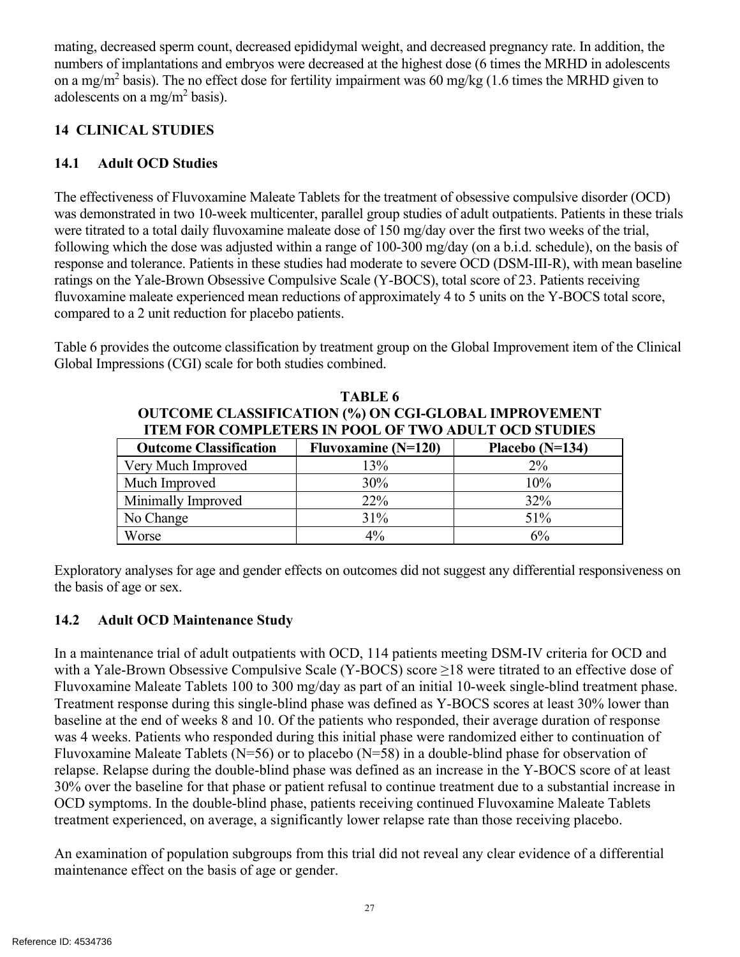mating, decreased sperm count, decreased epididymal weight, and decreased pregnancy rate. In addition, the numbers of implantations and embryos were decreased at the highest dose (6 times the MRHD in adolescents on a mg/m<sup>2</sup> basis). The no effect dose for fertility impairment was 60 mg/kg (1.6 times the MRHD given to adolescents on a mg/m<sup>2</sup> basis).

# **14 CLINICAL STUDIES**

# **14.1 Adult OCD Studies**

 following which the dose was adjusted within a range of 100-300 mg/day (on a b.i.d. schedule), on the basis of The effectiveness of Fluvoxamine Maleate Tablets for the treatment of obsessive compulsive disorder (OCD) was demonstrated in two 10-week multicenter, parallel group studies of adult outpatients. Patients in these trials were titrated to a total daily fluvoxamine maleate dose of 150 mg/day over the first two weeks of the trial, response and tolerance. Patients in these studies had moderate to severe OCD (DSM-III-R), with mean baseline ratings on the Yale-Brown Obsessive Compulsive Scale (Y-BOCS), total score of 23. Patients receiving fluvoxamine maleate experienced mean reductions of approximately 4 to 5 units on the Y-BOCS total score, compared to a 2 unit reduction for placebo patients.

 Table 6 provides the outcome classification by treatment group on the Global Improvement item of the Clinical Global Impressions (CGI) scale for both studies combined.

| <b>OUTCOME CLASSIFICATION (%) ON CGI-GLOBAL IMPROVEMENT</b><br>ITEM FOR COMPLETERS IN POOL OF TWO ADULT OCD STUDIES |       |       |  |
|---------------------------------------------------------------------------------------------------------------------|-------|-------|--|
| <b>Fluvoxamine (N=120)</b><br>Placebo $(N=134)$<br><b>Outcome Classification</b>                                    |       |       |  |
| Very Much Improved                                                                                                  | 13%   | $2\%$ |  |
| Much Improved                                                                                                       | 30%   | 10%   |  |
| Minimally Improved                                                                                                  | 22%   | 32%   |  |
| No Change                                                                                                           | 31%   | 51%   |  |
| Worse                                                                                                               | $4\%$ | 6%    |  |

**TABLE 6** 

Exploratory analyses for age and gender effects on outcomes did not suggest any differential responsiveness on the basis of age or sex.

## **14.2 Adult OCD Maintenance Study**

In a maintenance trial of adult outpatients with OCD, 114 patients meeting DSM-IV criteria for OCD and with a Yale-Brown Obsessive Compulsive Scale (Y-BOCS) score ≥18 were titrated to an effective dose of Fluvoxamine Maleate Tablets 100 to 300 mg/day as part of an initial 10-week single-blind treatment phase. Treatment response during this single-blind phase was defined as Y-BOCS scores at least 30% lower than baseline at the end of weeks 8 and 10. Of the patients who responded, their average duration of response was 4 weeks. Patients who responded during this initial phase were randomized either to continuation of Fluvoxamine Maleate Tablets (N=56) or to placebo (N=58) in a double-blind phase for observation of relapse. Relapse during the double-blind phase was defined as an increase in the Y-BOCS score of at least 30% over the baseline for that phase or patient refusal to continue treatment due to a substantial increase in OCD symptoms. In the double-blind phase, patients receiving continued Fluvoxamine Maleate Tablets treatment experienced, on average, a significantly lower relapse rate than those receiving placebo.

An examination of population subgroups from this trial did not reveal any clear evidence of a differential maintenance effect on the basis of age or gender.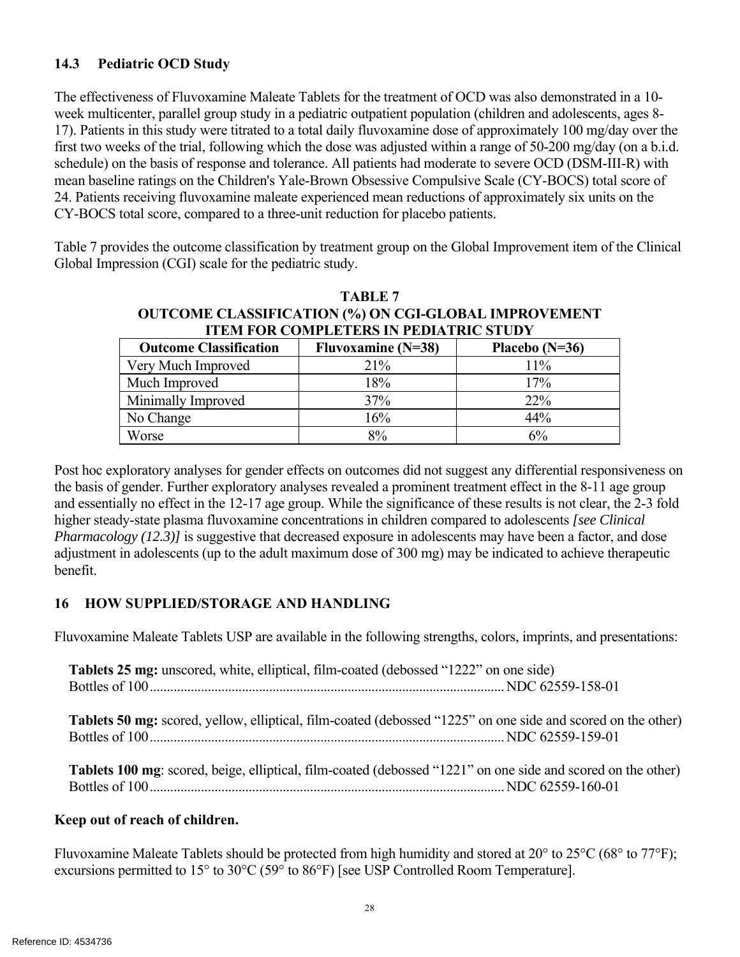# **14.3 Pediatric OCD Study**

 mean baseline ratings on the Children's Yale-Brown Obsessive Compulsive Scale (CY-BOCS) total score of The effectiveness of Fluvoxamine Maleate Tablets for the treatment of OCD was also demonstrated in a 10 week multicenter, parallel group study in a pediatric outpatient population (children and adolescents, ages 8- 17). Patients in this study were titrated to a total daily fluvoxamine dose of approximately 100 mg/day over the first two weeks of the trial, following which the dose was adjusted within a range of 50-200 mg/day (on a b.i.d. schedule) on the basis of response and tolerance. All patients had moderate to severe OCD (DSM-III-R) with 24. Patients receiving fluvoxamine maleate experienced mean reductions of approximately six units on the CY-BOCS total score, compared to a three-unit reduction for placebo patients.

 Table 7 provides the outcome classification by treatment group on the Global Improvement item of the Clinical Global Impression (CGI) scale for the pediatric study.

| <b>OUTCOME CLASSIFICATION (%) ON CGI-GLOBAL IMPROVEMENT</b><br><b>ITEM FOR COMPLETERS IN PEDIATRIC STUDY</b> |                      |                  |  |
|--------------------------------------------------------------------------------------------------------------|----------------------|------------------|--|
| <b>Outcome Classification</b>                                                                                | Fluvoxamine $(N=38)$ | Placebo $(N=36)$ |  |
| Very Much Improved                                                                                           | 21%                  | 11%              |  |
| Much Improved                                                                                                | 18%                  | 17%              |  |
| Minimally Improved                                                                                           | 37%                  | 22%              |  |
| No Change                                                                                                    | 16%                  | 44%              |  |
| Worse                                                                                                        | 8%                   | 6%               |  |

# **TABLE 7**

Post hoc exploratory analyses for gender effects on outcomes did not suggest any differential responsiveness on the basis of gender. Further exploratory analyses revealed a prominent treatment effect in the 8-11 age group and essentially no effect in the 12-17 age group. While the significance of these results is not clear, the 2-3 fold higher steady-state plasma fluvoxamine concentrations in children compared to adolescents *[see Clinical Pharmacology (12.3)]* is suggestive that decreased exposure in adolescents may have been a factor, and dose adjustment in adolescents (up to the adult maximum dose of 300 mg) may be indicated to achieve therapeutic benefit.

## **16 HOW SUPPLIED/STORAGE AND HANDLING**

Fluvoxamine Maleate Tablets USP are available in the following strengths, colors, imprints, and presentations:

**Tablets 25 mg:** unscored, white, elliptical, film-coated (debossed "1222" on one side) Bottles of 100 ........................................................................................................ NDC 62559-158-01 **Tablets 50 mg:** scored, yellow, elliptical, film-coated (debossed "1225" on one side and scored on the other) Bottles of 100 ........................................................................................................ NDC 62559-159-01 **Tablets 100 mg**: scored, beige, elliptical, film-coated (debossed "1221" on one side and scored on the other) Bottles of 100 ........................................................................................................ NDC 62559-160-01

## **Keep out of reach of children.**

Fluvoxamine Maleate Tablets should be protected from high humidity and stored at 20° to 25°C (68° to 77°F); excursions permitted to 15° to 30°C (59° to 86°F) [see USP Controlled Room Temperature].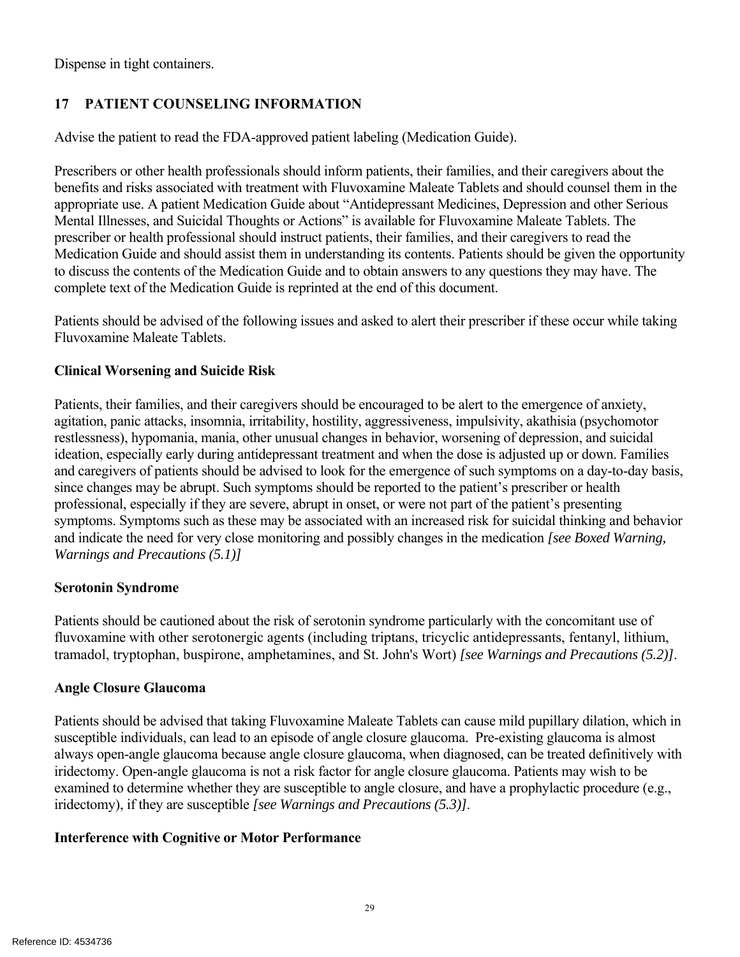Dispense in tight containers.

# **17 PATIENT COUNSELING INFORMATION**

Advise the patient to read the FDA-approved patient labeling (Medication Guide).

 Medication Guide and should assist them in understanding its contents. Patients should be given the opportunity Prescribers or other health professionals should inform patients, their families, and their caregivers about the benefits and risks associated with treatment with Fluvoxamine Maleate Tablets and should counsel them in the appropriate use. A patient Medication Guide about "Antidepressant Medicines, Depression and other Serious Mental Illnesses, and Suicidal Thoughts or Actions" is available for Fluvoxamine Maleate Tablets. The prescriber or health professional should instruct patients, their families, and their caregivers to read the to discuss the contents of the Medication Guide and to obtain answers to any questions they may have. The complete text of the Medication Guide is reprinted at the end of this document.

Patients should be advised of the following issues and asked to alert their prescriber if these occur while taking Fluvoxamine Maleate Tablets.

# **Clinical Worsening and Suicide Risk**

 Patients, their families, and their caregivers should be encouraged to be alert to the emergence of anxiety, agitation, panic attacks, insomnia, irritability, hostility, aggressiveness, impulsivity, akathisia (psychomotor restlessness), hypomania, mania, other unusual changes in behavior, worsening of depression, and suicidal ideation, especially early during antidepressant treatment and when the dose is adjusted up or down. Families and caregivers of patients should be advised to look for the emergence of such symptoms on a day-to-day basis, since changes may be abrupt. Such symptoms should be reported to the patient's prescriber or health professional, especially if they are severe, abrupt in onset, or were not part of the patient's presenting symptoms. Symptoms such as these may be associated with an increased risk for suicidal thinking and behavior and indicate the need for very close monitoring and possibly changes in the medication *[see Boxed Warning, Warnings and Precautions (5.1)]* 

## **Serotonin Syndrome**

Patients should be cautioned about the risk of serotonin syndrome particularly with the concomitant use of fluvoxamine with other serotonergic agents (including triptans, tricyclic antidepressants, fentanyl, lithium, tramadol, tryptophan, buspirone, amphetamines, and St. John's Wort) *[see Warnings and Precautions (5.2)]*.

## **Angle Closure Glaucoma**

 iridectomy), if they are susceptible *[see Warnings and Precautions (5.3)]*. Patients should be advised that taking Fluvoxamine Maleate Tablets can cause mild pupillary dilation, which in susceptible individuals, can lead to an episode of angle closure glaucoma. Pre-existing glaucoma is almost always open-angle glaucoma because angle closure glaucoma, when diagnosed, can be treated definitively with iridectomy. Open-angle glaucoma is not a risk factor for angle closure glaucoma. Patients may wish to be examined to determine whether they are susceptible to angle closure, and have a prophylactic procedure (e.g.,

# **Interference with Cognitive or Motor Performance**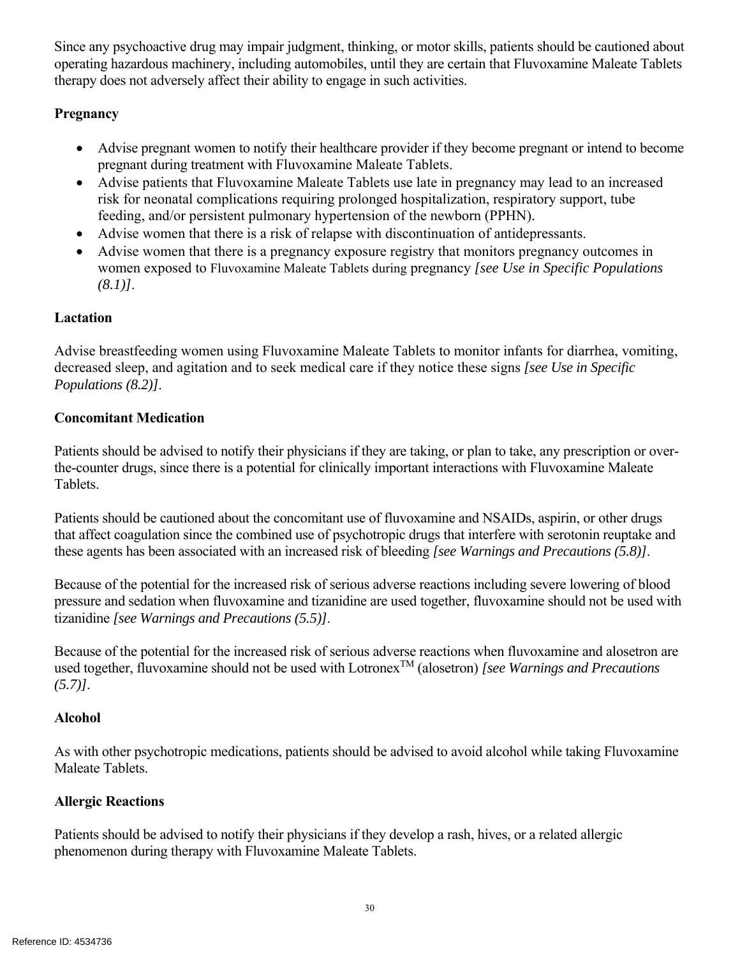Since any psychoactive drug may impair judgment, thinking, or motor skills, patients should be cautioned about operating hazardous machinery, including automobiles, until they are certain that Fluvoxamine Maleate Tablets therapy does not adversely affect their ability to engage in such activities.

# **Pregnancy**

- pregnant during treatment with Fluvoxamine Maleate Tablets. Advise pregnant women to notify their healthcare provider if they become pregnant or intend to become
- Advise patients that Fluvoxamine Maleate Tablets use late in pregnancy may lead to an increased risk for neonatal complications requiring prolonged hospitalization, respiratory support, tube feeding, and/or persistent pulmonary hypertension of the newborn (PPHN).
- Advise women that there is a risk of relapse with discontinuation of antidepressants.
- Advise women that there is a pregnancy exposure registry that monitors pregnancy outcomes in women exposed to Fluvoxamine Maleate Tablets during pregnancy *[see Use in Specific Populations (8.1)]*.

# **Lactation**

Advise breastfeeding women using Fluvoxamine Maleate Tablets to monitor infants for diarrhea, vomiting, decreased sleep, and agitation and to seek medical care if they notice these signs *[see Use in Specific Populations (8.2)]*.

# **Concomitant Medication**

 the-counter drugs, since there is a potential for clinically important interactions with Fluvoxamine Maleate Patients should be advised to notify their physicians if they are taking, or plan to take, any prescription or over-Tablets.

Patients should be cautioned about the concomitant use of fluvoxamine and NSAIDs, aspirin, or other drugs that affect coagulation since the combined use of psychotropic drugs that interfere with serotonin reuptake and these agents has been associated with an increased risk of bleeding *[see Warnings and Precautions (5.8)]*.

 pressure and sedation when fluvoxamine and tizanidine are used together, fluvoxamine should not be used with Because of the potential for the increased risk of serious adverse reactions including severe lowering of blood tizanidine *[see Warnings and Precautions (5.5)]*.

Because of the potential for the increased risk of serious adverse reactions when fluvoxamine and alosetron are used together, fluvoxamine should not be used with LotronexTM (alosetron) *[see Warnings and Precautions (5.7)]*.

## **Alcohol**

As with other psychotropic medications, patients should be advised to avoid alcohol while taking Fluvoxamine Maleate Tablets.

# **Allergic Reactions**

Patients should be advised to notify their physicians if they develop a rash, hives, or a related allergic phenomenon during therapy with Fluvoxamine Maleate Tablets.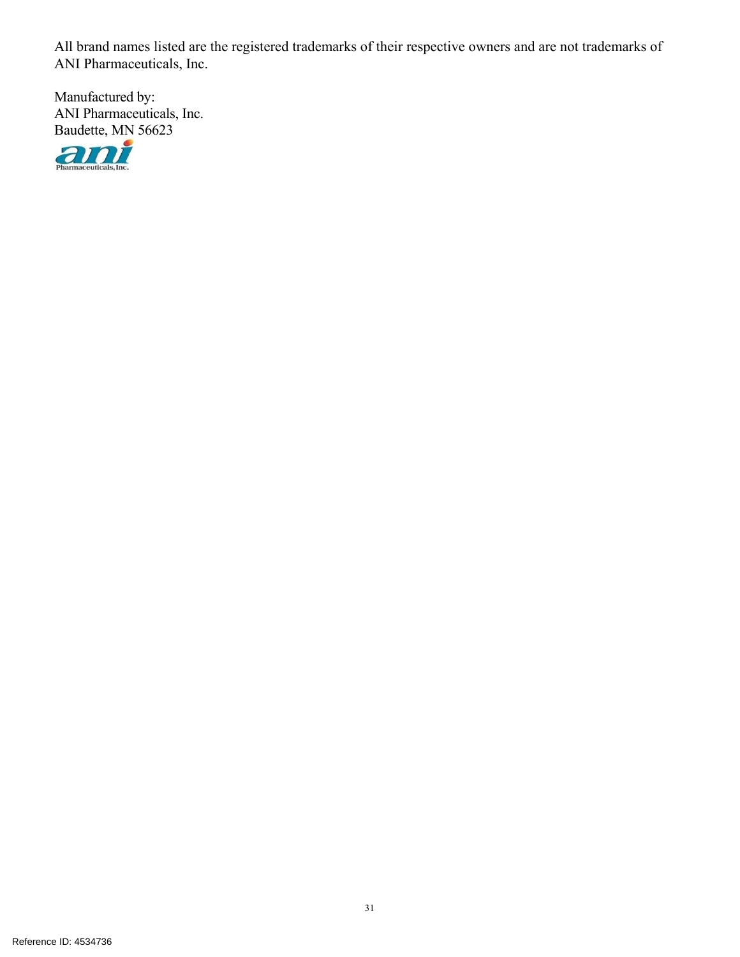All brand names listed are the registered trademarks of their respective owners and are not trademarks of ANI Pharmaceuticals, Inc.

 Manufactured by: ANI Pharmaceuticals, Inc. Baudette, MN 56623

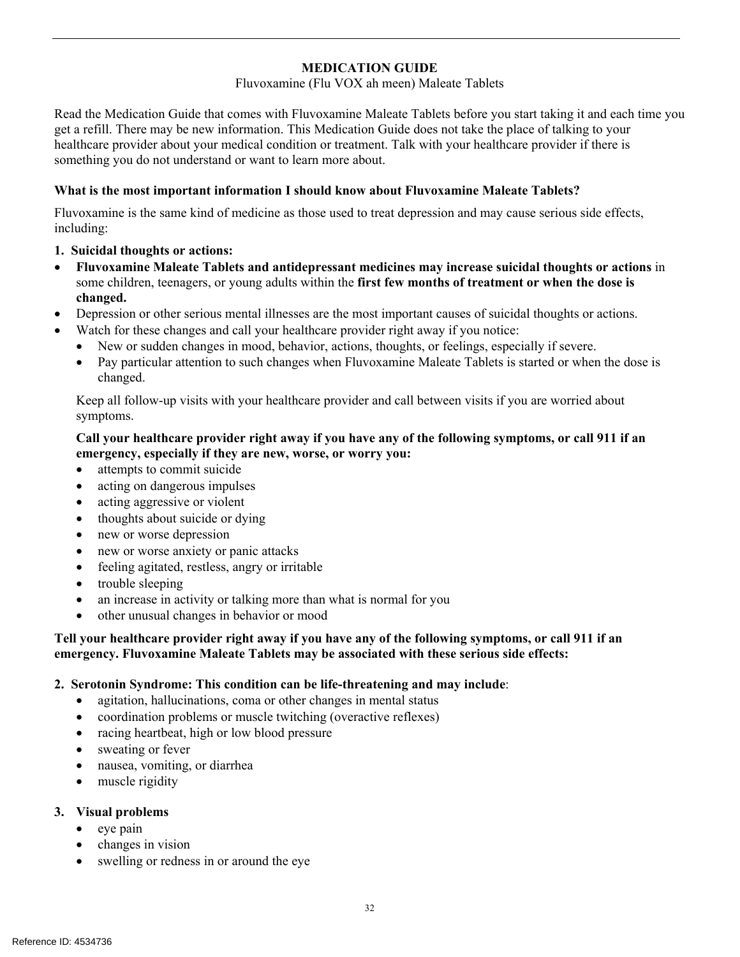#### **MEDICATION GUIDE**

Fluvoxamine (Flu VOX ah meen) Maleate Tablets

Read the Medication Guide that comes with Fluvoxamine Maleate Tablets before you start taking it and each time you get a refill. There may be new information. This Medication Guide does not take the place of talking to your healthcare provider about your medical condition or treatment. Talk with your healthcare provider if there is something you do not understand or want to learn more about.

#### **What is the most important information I should know about Fluvoxamine Maleate Tablets?**

including: Fluvoxamine is the same kind of medicine as those used to treat depression and may cause serious side effects,

#### **1. Suicidal thoughts or actions:**

- **Fluvoxamine Maleate Tablets and antidepressant medicines may increase suicidal thoughts or actions** in some children, teenagers, or young adults within the **first few months of treatment or when the dose is changed.**
- Depression or other serious mental illnesses are the most important causes of suicidal thoughts or actions.
- Watch for these changes and call your healthcare provider right away if you notice:
	- New or sudden changes in mood, behavior, actions, thoughts, or feelings, especially if severe.
	- Pay particular attention to such changes when Fluvoxamine Maleate Tablets is started or when the dose is changed.

Keep all follow-up visits with your healthcare provider and call between visits if you are worried about symptoms.

#### **Call your healthcare provider right away if you have any of the following symptoms, or call 911 if an emergency, especially if they are new, worse, or worry you:**

- attempts to commit suicide
- acting on dangerous impulses
- acting aggressive or violent
- thoughts about suicide or dying
- new or worse depression
- new or worse anxiety or panic attacks
- feeling agitated, restless, angry or irritable
- trouble sleeping
- an increase in activity or talking more than what is normal for you
- other unusual changes in behavior or mood

#### **Tell your healthcare provider right away if you have any of the following symptoms, or call 911 if an emergency. Fluvoxamine Maleate Tablets may be associated with these serious side effects:**

#### **2. Serotonin Syndrome: This condition can be life-threatening and may include**:

- agitation, hallucinations, coma or other changes in mental status
- coordination problems or muscle twitching (overactive reflexes)
- racing heartbeat, high or low blood pressure
- sweating or fever
- nausea, vomiting, or diarrhea
- muscle rigidity

#### **3. Visual problems**

- $\bullet$  eye pain
- changes in vision
- swelling or redness in or around the eye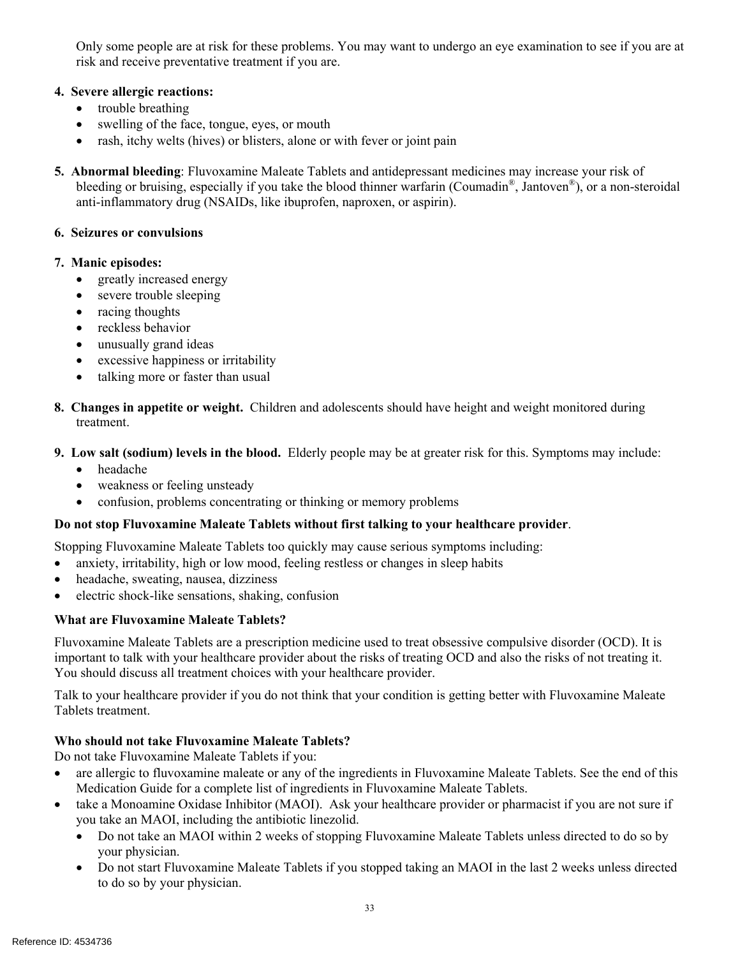Only some people are at risk for these problems. You may want to undergo an eye examination to see if you are at risk and receive preventative treatment if you are.

#### **4. Severe allergic reactions:**

- trouble breathing
- swelling of the face, tongue, eyes, or mouth
- rash, itchy welts (hives) or blisters, alone or with fever or joint pain
- anti-inflammatory drug (NSAIDs, like ibuprofen, naproxen, or aspirin). **5. Abnormal bleeding**: Fluvoxamine Maleate Tablets and antidepressant medicines may increase your risk of bleeding or bruising, especially if you take the blood thinner warfarin (Coumadin®, Jantoven®), or a non-steroidal

#### **6. Seizures or convulsions**

#### **7. Manic episodes:**

- greatly increased energy
- severe trouble sleeping
- racing thoughts
- reckless behavior
- unusually grand ideas
- excessive happiness or irritability
- talking more or faster than usual
- **8. Changes in appetite or weight.** Children and adolescents should have height and weight monitored during treatment.

#### **9. Low salt (sodium) levels in the blood.** Elderly people may be at greater risk for this. Symptoms may include:

- headache
- weakness or feeling unsteady
- confusion, problems concentrating or thinking or memory problems

#### **Do not stop Fluvoxamine Maleate Tablets without first talking to your healthcare provider**.

Stopping Fluvoxamine Maleate Tablets too quickly may cause serious symptoms including:

- anxiety, irritability, high or low mood, feeling restless or changes in sleep habits
- headache, sweating, nausea, dizziness
- electric shock-like sensations, shaking, confusion

#### **What are Fluvoxamine Maleate Tablets?**

Fluvoxamine Maleate Tablets are a prescription medicine used to treat obsessive compulsive disorder (OCD). It is important to talk with your healthcare provider about the risks of treating OCD and also the risks of not treating it. You should discuss all treatment choices with your healthcare provider.

Talk to your healthcare provider if you do not think that your condition is getting better with Fluvoxamine Maleate Tablets treatment.

#### **Who should not take Fluvoxamine Maleate Tablets?**

Do not take Fluvoxamine Maleate Tablets if you:

- are allergic to fluvoxamine maleate or any of the ingredients in Fluvoxamine Maleate Tablets. See the end of this Medication Guide for a complete list of ingredients in Fluvoxamine Maleate Tablets.
- take a Monoamine Oxidase Inhibitor (MAOI). Ask your healthcare provider or pharmacist if you are not sure if you take an MAOI, including the antibiotic linezolid.
	- Do not take an MAOI within 2 weeks of stopping Fluvoxamine Maleate Tablets unless directed to do so by your physician.
	- Do not start Fluvoxamine Maleate Tablets if you stopped taking an MAOI in the last 2 weeks unless directed to do so by your physician.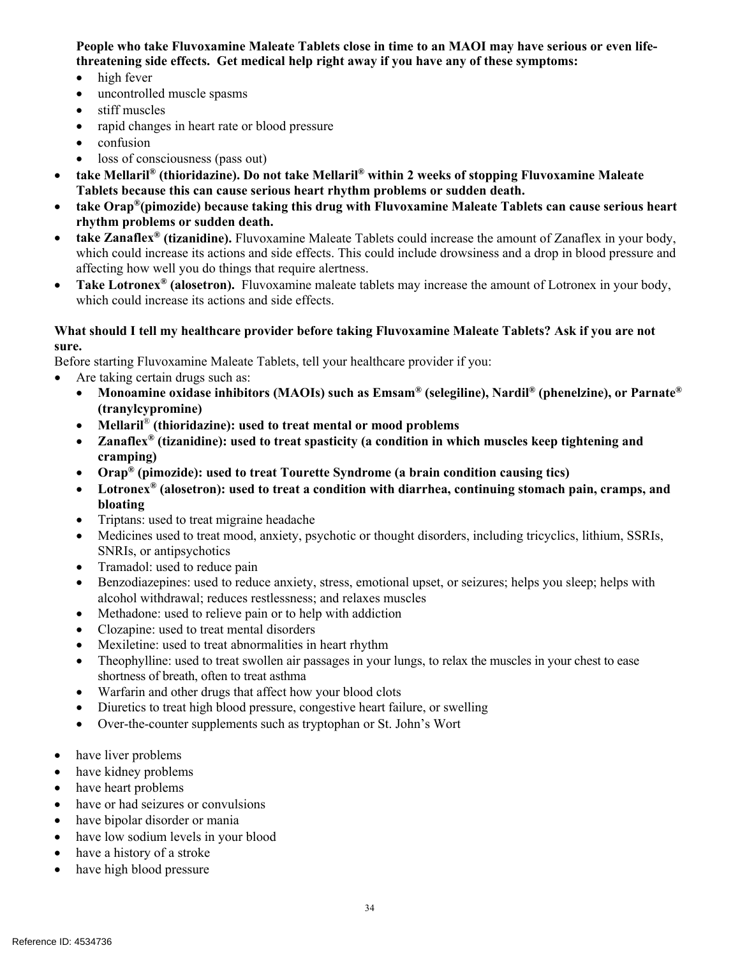**threatening side effects. Get medical help right away if you have any of these symptoms: People who take Fluvoxamine Maleate Tablets close in time to an MAOI may have serious or even life-**

- high fever
- uncontrolled muscle spasms
- stiff muscles
- rapid changes in heart rate or blood pressure
- confusion
- loss of consciousness (pass out)
- **take Mellaril® (thioridazine). Do not take Mellaril® within 2 weeks of stopping Fluvoxamine Maleate Tablets because this can cause serious heart rhythm problems or sudden death.**
- **take Orap®(pimozide) because taking this drug with Fluvoxamine Maleate Tablets can cause serious heart rhythm problems or sudden death.**
- take Zanaflex<sup>®</sup> (tizanidine). Fluvoxamine Maleate Tablets could increase the amount of Zanaflex in your body, which could increase its actions and side effects. This could include drowsiness and a drop in blood pressure and affecting how well you do things that require alertness.
- which could increase its actions and side effects. • **Take Lotronex<sup>®</sup> (alosetron).** Fluvoxamine maleate tablets may increase the amount of Lotronex in your body,

#### **What should I tell my healthcare provider before taking Fluvoxamine Maleate Tablets? Ask if you are not sure.**

Before starting Fluvoxamine Maleate Tablets, tell your healthcare provider if you:

- Are taking certain drugs such as:
	- **Monoamine oxidase inhibitors (MAOIs) such as Emsam® (selegiline), Nardil® (phenelzine), or Parnate® (tranylcypromine)**
	- **Mellaril**® **(thioridazine): used to treat mental or mood problems**
	- **Zanaflex® (tizanidine): used to treat spasticity (a condition in which muscles keep tightening and cramping)**
	- **Orap® (pimozide): used to treat Tourette Syndrome (a brain condition causing tics)**
	- **Lotronex® (alosetron): used to treat a condition with diarrhea, continuing stomach pain, cramps, and bloating**
	- Triptans: used to treat migraine headache
	- Medicines used to treat mood, anxiety, psychotic or thought disorders, including tricyclics, lithium, SSRIs, SNRIs, or antipsychotics
	- Tramadol: used to reduce pain
	- Benzodiazepines: used to reduce anxiety, stress, emotional upset, or seizures; helps you sleep; helps with alcohol withdrawal; reduces restlessness; and relaxes muscles
	- Methadone: used to relieve pain or to help with addiction
	- Clozapine: used to treat mental disorders
	- Mexiletine: used to treat abnormalities in heart rhythm
	- Theophylline: used to treat swollen air passages in your lungs, to relax the muscles in your chest to ease shortness of breath, often to treat asthma
	- Warfarin and other drugs that affect how your blood clots
	- Diuretics to treat high blood pressure, congestive heart failure, or swelling
	- Over-the-counter supplements such as tryptophan or St. John's Wort
- have liver problems
- have kidney problems
- have heart problems
- have or had seizures or convulsions
- have bipolar disorder or mania
- have low sodium levels in your blood
- have a history of a stroke
- have high blood pressure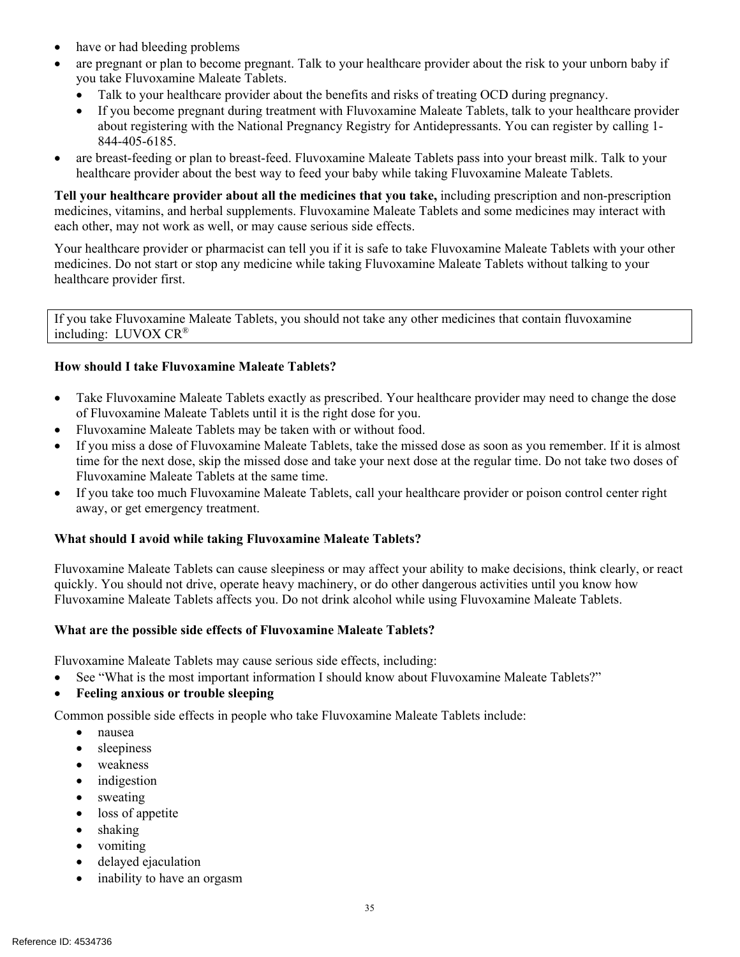- have or had bleeding problems
- are pregnant or plan to become pregnant. Talk to your healthcare provider about the risk to your unborn baby if you take Fluvoxamine Maleate Tablets.
	- Talk to your healthcare provider about the benefits and risks of treating OCD during pregnancy.
	- If you become pregnant during treatment with Fluvoxamine Maleate Tablets, talk to your healthcare provider about registering with the National Pregnancy Registry for Antidepressants. You can register by calling 1- 844-405-6185.
- are breast-feeding or plan to breast-feed. Fluvoxamine Maleate Tablets pass into your breast milk. Talk to your healthcare provider about the best way to feed your baby while taking Fluvoxamine Maleate Tablets.

**Tell your healthcare provider about all the medicines that you take,** including prescription and non-prescription medicines, vitamins, and herbal supplements. Fluvoxamine Maleate Tablets and some medicines may interact with each other, may not work as well, or may cause serious side effects.

Your healthcare provider or pharmacist can tell you if it is safe to take Fluvoxamine Maleate Tablets with your other medicines. Do not start or stop any medicine while taking Fluvoxamine Maleate Tablets without talking to your healthcare provider first.

If you take Fluvoxamine Maleate Tablets, you should not take any other medicines that contain fluvoxamine including: LUVOX CR®

#### **How should I take Fluvoxamine Maleate Tablets?**

- Take Fluvoxamine Maleate Tablets exactly as prescribed. Your healthcare provider may need to change the dose of Fluvoxamine Maleate Tablets until it is the right dose for you.
- Fluvoxamine Maleate Tablets may be taken with or without food.
- If you miss a dose of Fluvoxamine Maleate Tablets, take the missed dose as soon as you remember. If it is almost time for the next dose, skip the missed dose and take your next dose at the regular time. Do not take two doses of Fluvoxamine Maleate Tablets at the same time.
- If you take too much Fluvoxamine Maleate Tablets, call your healthcare provider or poison control center right away, or get emergency treatment.

#### **What should I avoid while taking Fluvoxamine Maleate Tablets?**

Fluvoxamine Maleate Tablets can cause sleepiness or may affect your ability to make decisions, think clearly, or react quickly. You should not drive, operate heavy machinery, or do other dangerous activities until you know how Fluvoxamine Maleate Tablets affects you. Do not drink alcohol while using Fluvoxamine Maleate Tablets.

#### **What are the possible side effects of Fluvoxamine Maleate Tablets?**

Fluvoxamine Maleate Tablets may cause serious side effects, including:

- See "What is the most important information I should know about Fluvoxamine Maleate Tablets?"
- **Feeling anxious or trouble sleeping**

Common possible side effects in people who take Fluvoxamine Maleate Tablets include:

- nausea
- sleepiness
- weakness
- indigestion
- sweating
- loss of appetite
- shaking
- vomiting
- delayed ejaculation
- inability to have an orgasm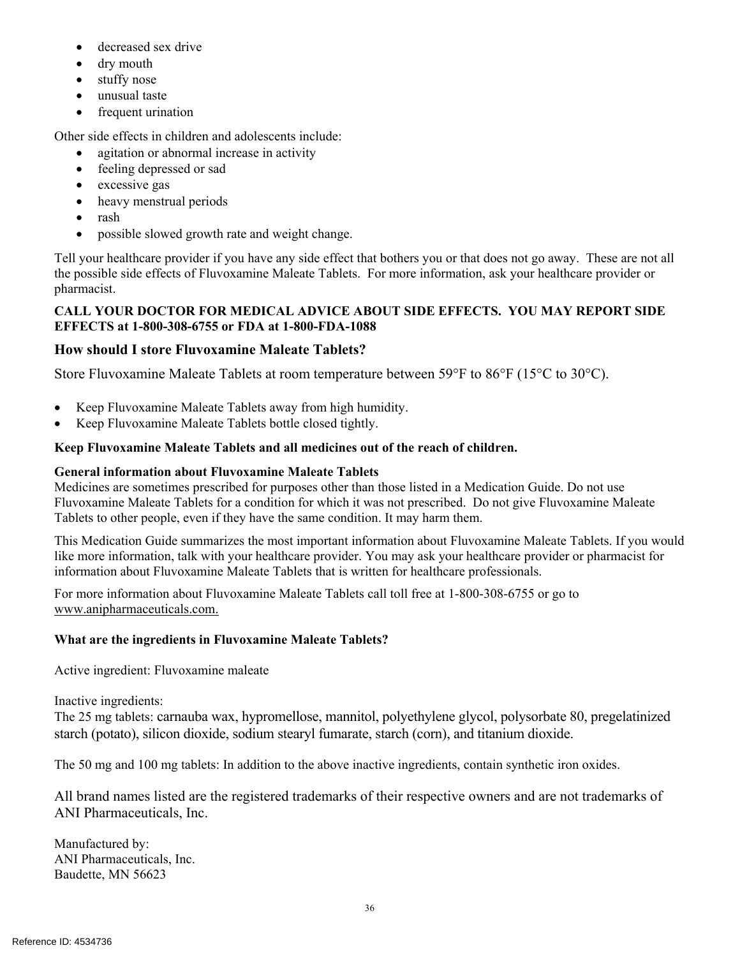- decreased sex drive
- dry mouth
- stuffy nose
- unusual taste
- frequent urination

Other side effects in children and adolescents include:

- agitation or abnormal increase in activity
- feeling depressed or sad
- excessive gas
- heavy menstrual periods
- rash
- possible slowed growth rate and weight change.

Tell your healthcare provider if you have any side effect that bothers you or that does not go away. These are not all the possible side effects of Fluvoxamine Maleate Tablets. For more information, ask your healthcare provider or pharmacist.

#### **CALL YOUR DOCTOR FOR MEDICAL ADVICE ABOUT SIDE EFFECTS. YOU MAY REPORT SIDE EFFECTS at 1-800-308-6755 or FDA at 1-800-FDA-1088**

## **How should I store Fluvoxamine Maleate Tablets?**

Store Fluvoxamine Maleate Tablets at room temperature between 59°F to 86°F (15°C to 30°C).

- Keep Fluvoxamine Maleate Tablets away from high humidity.
- Keep Fluvoxamine Maleate Tablets bottle closed tightly.

#### **Keep Fluvoxamine Maleate Tablets and all medicines out of the reach of children.**

#### **General information about Fluvoxamine Maleate Tablets**

 Fluvoxamine Maleate Tablets for a condition for which it was not prescribed. Do not give Fluvoxamine Maleate Tablets to other people, even if they have the same condition. It may harm them. Medicines are sometimes prescribed for purposes other than those listed in a Medication Guide. Do not use

This Medication Guide summarizes the most important information about Fluvoxamine Maleate Tablets. If you would like more information, talk with your healthcare provider. You may ask your healthcare provider or pharmacist for information about Fluvoxamine Maleate Tablets that is written for healthcare professionals.

For more information about Fluvoxamine Maleate Tablets call toll free at 1-800-308-6755 or go to www.anipharmaceuticals.com.

#### **What are the ingredients in Fluvoxamine Maleate Tablets?**

Active ingredient: Fluvoxamine maleate

Inactive ingredients:

The 25 mg tablets: carnauba wax, hypromellose, mannitol, polyethylene glycol, polysorbate 80, pregelatinized starch (potato), silicon dioxide, sodium stearyl fumarate, starch (corn), and titanium dioxide.

The 50 mg and 100 mg tablets: In addition to the above inactive ingredients, contain synthetic iron oxides.

All brand names listed are the registered trademarks of their respective owners and are not trademarks of ANI Pharmaceuticals, Inc.

Manufactured by: ANI Pharmaceuticals, Inc. Baudette, MN 56623